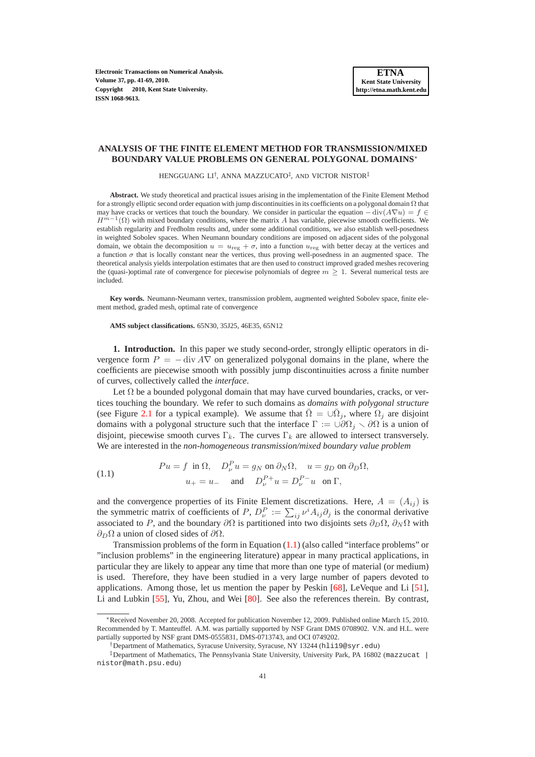**Electronic Transactions on Numerical Analysis. Volume 37, pp. 41-69, 2010. Copyright 2010, Kent State University. ISSN 1068-9613.**

# **ANALYSIS OF THE FINITE ELEMENT METHOD FOR TRANSMISSION/MIXED BOUNDARY VALUE PROBLEMS ON GENERAL POLYGONAL DOMAINS**<sup>∗</sup>

HENGGUANG LI† , ANNA MAZZUCATO‡ , AND VICTOR NISTOR‡

**Abstract.** We study theoretical and practical issues arising in the implementation of the Finite Element Method for a strongly elliptic second order equation with jump discontinuities in its coefficients on a polygonal domain  $\Omega$  that may have cracks or vertices that touch the boundary. We consider in particular the equation  $-$  div $(A\nabla u) = f \in$  $H^{m-1}(\Omega)$  with mixed boundary conditions, where the matrix A has variable, piecewise smooth coefficients. We establish regularity and Fredholm results and, under some additional conditions, we also establish well-posedness in weighted Sobolev spaces. When Neumann boundary conditions are imposed on adjacent sides of the polygonal domain, we obtain the decomposition  $u = u_{\text{reg}} + \sigma$ , into a function  $u_{\text{reg}}$  with better decay at the vertices and a function  $\sigma$  that is locally constant near the vertices, thus proving well-posedness in an augmented space. The theoretical analysis yields interpolation estimates that are then used to construct improved graded meshes recovering the (quasi-)optimal rate of convergence for piecewise polynomials of degree  $m \geq 1$ . Several numerical tests are included.

**Key words.** Neumann-Neumann vertex, transmission problem, augmented weighted Sobolev space, finite element method, graded mesh, optimal rate of convergence

**AMS subject classifications.** 65N30, 35J25, 46E35, 65N12

**1. Introduction.** In this paper we study second-order, strongly elliptic operators in divergence form  $P = - \text{div } A \nabla$  on generalized polygonal domains in the plane, where the coefficients are piecewise smooth with possibly jump discontinuities across a finite number of curves, collectively called the *interface*.

Let  $\Omega$  be a bounded polygonal domain that may have curved boundaries, cracks, or vertices touching the boundary. We refer to such domains as *domains with polygonal structure* (see Figure [2.1](#page-3-0) for a typical example). We assume that  $\overline{\Omega} = \cup \overline{\Omega}_j$ , where  $\Omega_j$  are disjoint domains with a polygonal structure such that the interface  $\Gamma := \bigcup \partial \Omega_i \setminus \partial \Omega$  is a union of disjoint, piecewise smooth curves  $\Gamma_k$ . The curves  $\Gamma_k$  are allowed to intersect transversely. We are interested in the *non-homogeneous transmission/mixed boundary value problem*

<span id="page-0-0"></span>(1.1) 
$$
Pu = f \text{ in } \Omega, \quad D_{\nu}^P u = g_N \text{ on } \partial_N \Omega, \quad u = g_D \text{ on } \partial_D \Omega,
$$

$$
u_+ = u_- \quad \text{ and } \quad D_{\nu}^{P+} u = D_{\nu}^{P-} u \text{ on } \Gamma,
$$

and the convergence properties of its Finite Element discretizations. Here,  $A = (A_{ij})$  is the symmetric matrix of coefficients of  $P$ ,  $D_{\nu}^{P} := \sum_{ij} \nu^{i} A_{ij} \partial_{j}$  is the conormal derivative associated to P, and the boundary  $\partial\Omega$  is partitioned into two disjoints sets  $\partial_D\Omega$ ,  $\partial_N\Omega$  with  $\partial_D\Omega$  a union of closed sides of  $\partial\Omega$ .

Transmission problems of the form in Equation [\(1.1\)](#page-0-0) (also called "interface problems" or "inclusion problems" in the engineering literature) appear in many practical applications, in particular they are likely to appear any time that more than one type of material (or medium) is used. Therefore, they have been studied in a very large number of papers devoted to applications. Among those, let us mention the paper by Peskin [\[68\]](#page-28-0), LeVeque and Li [\[51\]](#page-27-0), Li and Lubkin [\[55\]](#page-27-1), Yu, Zhou, and Wei [\[80\]](#page-28-1). See also the references therein. By contrast,

<sup>∗</sup>Received November 20, 2008. Accepted for publication November 12, 2009. Published online March 15, 2010. Recommended by T. Manteuffel. A.M. was partially supported by NSF Grant DMS 0708902. V.N. and H.L. were partially supported by NSF grant DMS-0555831, DMS-0713743, and OCI 0749202.

<sup>†</sup>Department of Mathematics, Syracuse University, Syracuse, NY 13244 (hli19@syr.edu)

<sup>&</sup>lt;sup>‡</sup>Department of Mathematics, The Pennsylvania State University, University Park, PA 16802 (mazzucat | nistor@math.psu.edu)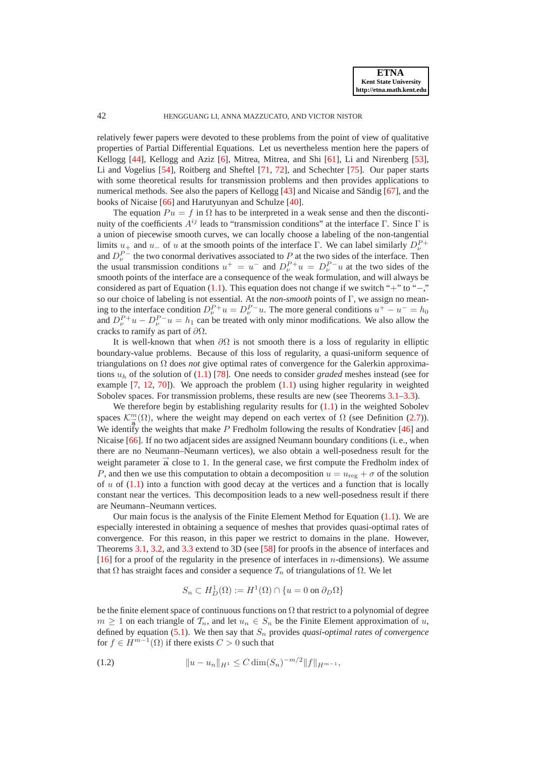relatively fewer papers were devoted to these problems from the point of view of qualitative properties of Partial Differential Equations. Let us nevertheless mention here the papers of Kellogg [\[44\]](#page-27-2), Kellogg and Aziz [\[6\]](#page-26-0), Mitrea, Mitrea, and Shi [\[61\]](#page-28-2), Li and Nirenberg [\[53\]](#page-27-3), Li and Vogelius [\[54\]](#page-27-4), Roitberg and Sheftel [\[71,](#page-28-3) [72\]](#page-28-4), and Schechter [\[75\]](#page-28-5). Our paper starts with some theoretical results for transmission problems and then provides applications to numerical methods. See also the papers of Kellogg  $[43]$  and Nicaise and Sändig  $[67]$  $[67]$ , and the books of Nicaise [\[66\]](#page-28-7) and Harutyunyan and Schulze [\[40\]](#page-27-6).

The equation  $Pu = f$  in  $\Omega$  has to be interpreted in a weak sense and then the discontinuity of the coefficients  $A^{ij}$  leads to "transmission conditions" at the interface Γ. Since Γ is a union of piecewise smooth curves, we can locally choose a labeling of the non-tangential limits  $u_+$  and  $u_-$  of u at the smooth points of the interface Γ. We can label similarly  $D_{\nu}^{P+}$ and  $D_{\nu}^{P-}$  the two conormal derivatives associated to P at the two sides of the interface. Then the usual transmission conditions  $u^+ = u^-$  and  $D_{\nu}^{P+}u = D_{\nu}^{P-}u$  at the two sides of the smooth points of the interface are a consequence of the weak formulation, and will always be considered as part of Equation [\(1.1\)](#page-0-0). This equation does not change if we switch "+" to "−," so our choice of labeling is not essential. At the *non-smooth* points of Γ, we assign no meaning to the interface condition  $D_{\nu}^{P+}u = D_{\nu}^{P-}u$ . The more general conditions  $u^{+} - u^{-} = h_0$ and  $D_{\nu}^{P+}u - D_{\nu}^{P-}u = h_1$  can be treated with only minor modifications. We also allow the cracks to ramify as part of  $\partial\Omega$ .

It is well-known that when  $\partial\Omega$  is not smooth there is a loss of regularity in elliptic boundary-value problems. Because of this loss of regularity, a quasi-uniform sequence of triangulations on Ω does *not* give optimal rates of convergence for the Galerkin approximations u<sup>h</sup> of the solution of [\(1.1\)](#page-0-0) [\[78\]](#page-28-8). One needs to consider *graded* meshes instead (see for example  $[7, 12, 70]$  $[7, 12, 70]$  $[7, 12, 70]$  $[7, 12, 70]$ ). We approach the problem  $(1.1)$  using higher regularity in weighted Sobolev spaces. For transmission problems, these results are new (see Theorems [3.1–](#page-7-0)[3.3\)](#page-8-0).

We therefore begin by establishing regularity results for  $(1.1)$  in the weighted Sobolev spaces  $\mathcal{K}_{\overrightarrow{a}}^{m}(\Omega)$ , where the weight may depend on each vertex of  $\Omega$  (see Definition [\(2.7\)](#page-5-0)). We identify the weights that make P Fredholm following the results of Kondratiev [\[46\]](#page-27-7) and Nicaise [\[66\]](#page-28-7). If no two adjacent sides are assigned Neumann boundary conditions (i. e., when there are no Neumann–Neumann vertices), we also obtain a well-posedness result for the weight parameter  $\vec{a}$  close to 1. In the general case, we first compute the Fredholm index of P, and then we use this computation to obtain a decomposition  $u = u_{reg} + \sigma$  of the solution of u of  $(1.1)$  into a function with good decay at the vertices and a function that is locally constant near the vertices. This decomposition leads to a new well-posedness result if there are Neumann–Neumann vertices.

Our main focus is the analysis of the Finite Element Method for Equation  $(1.1)$ . We are especially interested in obtaining a sequence of meshes that provides quasi-optimal rates of convergence. For this reason, in this paper we restrict to domains in the plane. However, Theorems [3.1,](#page-7-0) [3.2,](#page-8-1) and [3.3](#page-8-0) extend to 3D (see [\[58\]](#page-27-8) for proofs in the absence of interfaces and [\[16\]](#page-26-3) for a proof of the regularity in the presence of interfaces in n-dimensions). We assume that Ω has straight faces and consider a sequence  $\mathcal{T}_n$  of triangulations of Ω. We let

$$
S_n \subset H^1_D(\Omega) := H^1(\Omega) \cap \{u = 0 \text{ on } \partial_D\Omega\}
$$

be the finite element space of continuous functions on  $\Omega$  that restrict to a polynomial of degree  $m \geq 1$  on each triangle of  $\mathcal{T}_n$ , and let  $u_n \in S_n$  be the Finite Element approximation of u, defined by equation  $(5.1)$ . We then say that  $S_n$  provides *quasi-optimal rates of convergence* for  $f \in H^{m-1}(\Omega)$  if there exists  $C > 0$  such that

$$
(1.2) \t\t\t ||u - u_n||_{H^1} \leq C \dim(S_n)^{-m/2} ||f||_{H^{m-1}},
$$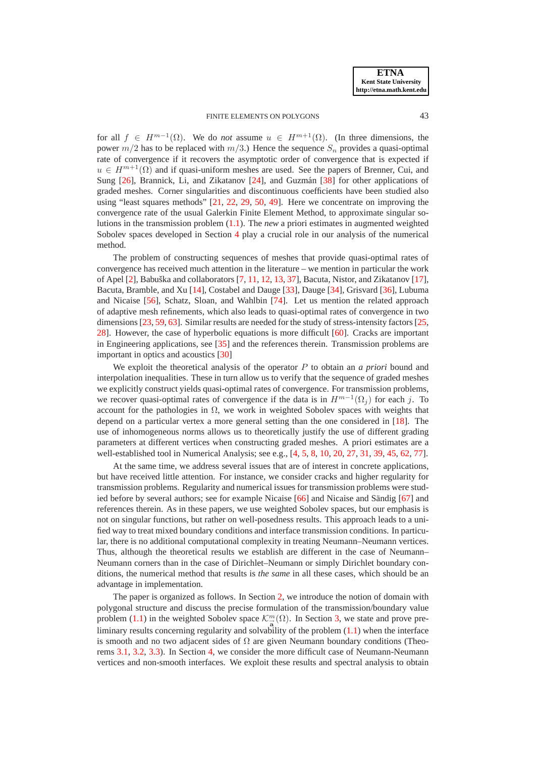for all  $f \in H^{m-1}(\Omega)$ . We do *not* assume  $u \in H^{m+1}(\Omega)$ . (In three dimensions, the power  $m/2$  has to be replaced with  $m/3$ .) Hence the sequence  $S_n$  provides a quasi-optimal rate of convergence if it recovers the asymptotic order of convergence that is expected if  $u \in H^{m+1}(\Omega)$  and if quasi-uniform meshes are used. See the papers of Brenner, Cui, and Sung  $[26]$ , Brannick, Li, and Zikatanov  $[24]$ , and Guzmán  $[38]$  $[38]$  for other applications of graded meshes. Corner singularities and discontinuous coefficients have been studied also using "least squares methods" [\[21,](#page-26-6) [22,](#page-26-7) [29,](#page-26-8) [50,](#page-27-10) [49\]](#page-27-11). Here we concentrate on improving the convergence rate of the usual Galerkin Finite Element Method, to approximate singular solutions in the transmission problem [\(1.1\)](#page-0-0). The *new* a priori estimates in augmented weighted Sobolev spaces developed in Section [4](#page-10-0) play a crucial role in our analysis of the numerical method.

The problem of constructing sequences of meshes that provide quasi-optimal rates of convergence has received much attention in the literature – we mention in particular the work of Apel  $[2]$ , Babuška and collaborators  $[7, 11, 12, 13, 37]$  $[7, 11, 12, 13, 37]$  $[7, 11, 12, 13, 37]$  $[7, 11, 12, 13, 37]$  $[7, 11, 12, 13, 37]$  $[7, 11, 12, 13, 37]$  $[7, 11, 12, 13, 37]$  $[7, 11, 12, 13, 37]$  $[7, 11, 12, 13, 37]$  $[7, 11, 12, 13, 37]$ , Bacuta, Nistor, and Zikatanov  $[17]$ , Bacuta, Bramble, and Xu [\[14\]](#page-26-13), Costabel and Dauge [\[33\]](#page-27-13), Dauge [\[34\]](#page-27-14), Grisvard [\[36\]](#page-27-15), Lubuma and Nicaise [\[56\]](#page-27-16), Schatz, Sloan, and Wahlbin [\[74\]](#page-28-10). Let us mention the related approach of adaptive mesh refinements, which also leads to quasi-optimal rates of convergence in two dimensions [\[23,](#page-26-14) [59,](#page-28-11) [63\]](#page-28-12). Similar results are needed for the study of stress-intensity factors [\[25,](#page-26-15) [28\]](#page-26-16). However, the case of hyperbolic equations is more difficult [\[60\]](#page-28-13). Cracks are important in Engineering applications, see [\[35\]](#page-27-17) and the references therein. Transmission problems are important in optics and acoustics [\[30\]](#page-27-18)

We exploit the theoretical analysis of the operator P to obtain an *a priori* bound and interpolation inequalities. These in turn allow us to verify that the sequence of graded meshes we explicitly construct yields quasi-optimal rates of convergence. For transmission problems, we recover quasi-optimal rates of convergence if the data is in  $H^{m-1}(\Omega_j)$  for each j. To account for the pathologies in  $\Omega$ , we work in weighted Sobolev spaces with weights that depend on a particular vertex a more general setting than the one considered in [\[18\]](#page-26-17). The use of inhomogeneous norms allows us to theoretically justify the use of different grading parameters at different vertices when constructing graded meshes. A priori estimates are a well-established tool in Numerical Analysis; see e.g., [\[4,](#page-26-18) [5,](#page-26-19) [8,](#page-26-20) [10,](#page-26-21) [20,](#page-26-22) [27,](#page-26-23) [31,](#page-27-19) [39,](#page-27-20) [45,](#page-27-21) [62,](#page-28-14) [77\]](#page-28-15).

At the same time, we address several issues that are of interest in concrete applications, but have received little attention. For instance, we consider cracks and higher regularity for transmission problems. Regularity and numerical issues for transmission problems were studied before by several authors; see for example Nicaise  $[66]$  and Nicaise and Sändig  $[67]$  $[67]$  and references therein. As in these papers, we use weighted Sobolev spaces, but our emphasis is not on singular functions, but rather on well-posedness results. This approach leads to a unified way to treat mixed boundary conditions and interface transmission conditions. In particular, there is no additional computational complexity in treating Neumann–Neumann vertices. Thus, although the theoretical results we establish are different in the case of Neumann– Neumann corners than in the case of Dirichlet–Neumann or simply Dirichlet boundary conditions, the numerical method that results is *the same* in all these cases, which should be an advantage in implementation.

The paper is organized as follows. In Section [2,](#page-3-1) we introduce the notion of domain with polygonal structure and discuss the precise formulation of the transmission/boundary value problem [\(1.1\)](#page-0-0) in the weighted Sobolev space  $\mathcal{K}_{\overrightarrow{a}}^{m}(\Omega)$ . In Section [3,](#page-7-1) we state and prove preliminary results concerning regularity and solvability of the problem [\(1.1\)](#page-0-0) when the interface is smooth and no two adjacent sides of  $\Omega$  are given Neumann boundary conditions (Theorems [3.1,](#page-7-0) [3.2,](#page-8-1) [3.3\)](#page-8-0). In Section [4,](#page-10-0) we consider the more difficult case of Neumann-Neumann vertices and non-smooth interfaces. We exploit these results and spectral analysis to obtain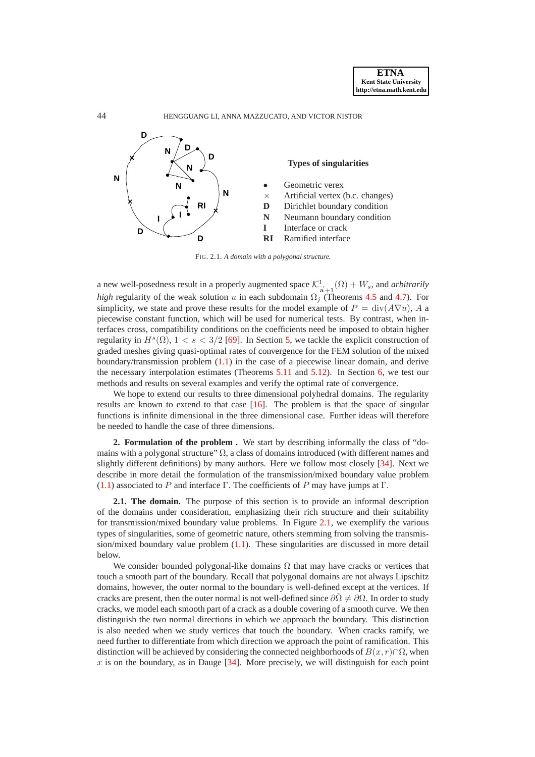

FIG. 2.1. *A domain with a polygonal structure.*

a new well-posedness result in a properly augmented space  $\mathcal{K}^1_{\overline{a}+1}(\Omega) + W_s$ , and *arbitrarily high* regularity of the weak solution u in each subdomain  $\Omega_j$  (Theorems [4.5](#page-12-0) and [4.7\)](#page-14-0). For simplicity, we state and prove these results for the model example of  $P = \text{div}(A\nabla u)$ , A a piecewise constant function, which will be used for numerical tests. By contrast, when interfaces cross, compatibility conditions on the coefficients need be imposed to obtain higher regularity in  $H^s(\Omega)$ ,  $1 < s < 3/2$  [\[69\]](#page-28-16). In Section [5,](#page-14-1) we tackle the explicit construction of graded meshes giving quasi-optimal rates of convergence for the FEM solution of the mixed boundary/transmission problem [\(1.1\)](#page-0-0) in the case of a piecewise linear domain, and derive the necessary interpolation estimates (Theorems [5.11](#page-18-0) and [5.12\)](#page-19-0). In Section [6,](#page-20-0) we test our methods and results on several examples and verify the optimal rate of convergence.

We hope to extend our results to three dimensional polyhedral domains. The regularity results are known to extend to that case  $[16]$ . The problem is that the space of singular functions is infinite dimensional in the three dimensional case. Further ideas will therefore be needed to handle the case of three dimensions.

<span id="page-3-1"></span>**2. Formulation of the problem .** We start by describing informally the class of "domains with a polygonal structure"  $\Omega$ , a class of domains introduced (with different names and slightly different definitions) by many authors. Here we follow most closely [\[34\]](#page-27-14). Next we describe in more detail the formulation of the transmission/mixed boundary value problem [\(1.1\)](#page-0-0) associated to P and interface  $\Gamma$ . The coefficients of P may have jumps at  $\Gamma$ .

<span id="page-3-0"></span>**2.1. The domain.** The purpose of this section is to provide an informal description of the domains under consideration, emphasizing their rich structure and their suitability for transmission/mixed boundary value problems. In Figure [2.1,](#page-3-0) we exemplify the various types of singularities, some of geometric nature, others stemming from solving the transmission/mixed boundary value problem  $(1.1)$ . These singularities are discussed in more detail below.

We consider bounded polygonal-like domains  $\Omega$  that may have cracks or vertices that touch a smooth part of the boundary. Recall that polygonal domains are not always Lipschitz domains, however, the outer normal to the boundary is well-defined except at the vertices. If cracks are present, then the outer normal is not well-defined since  $\partial\overline{\Omega}\neq\partial\Omega$ . In order to study cracks, we model each smooth part of a crack as a double covering of a smooth curve. We then distinguish the two normal directions in which we approach the boundary. This distinction is also needed when we study vertices that touch the boundary. When cracks ramify, we need further to differentiate from which direction we approach the point of ramification. This distinction will be achieved by considering the connected neighborhoods of  $B(x, r) \cap \Omega$ , when  $x$  is on the boundary, as in Dauge  $[34]$ . More precisely, we will distinguish for each point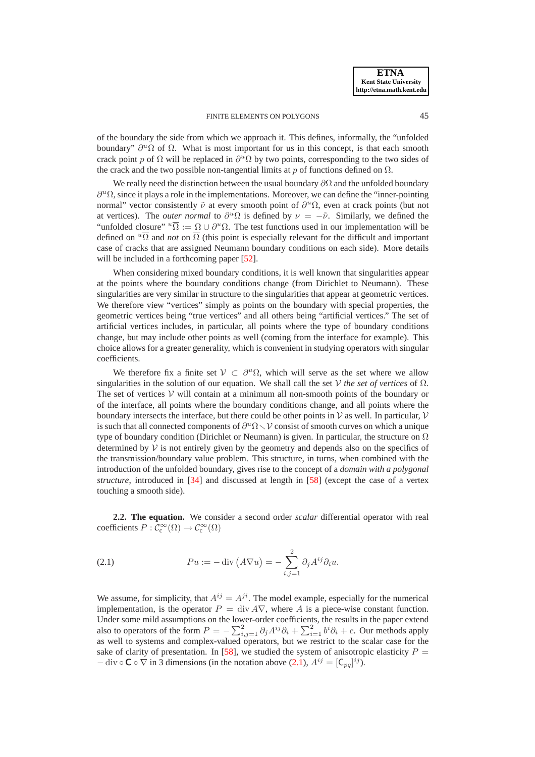of the boundary the side from which we approach it. This defines, informally, the "unfolded boundary"  $\partial^u \Omega$  of  $\Omega$ . What is most important for us in this concept, is that each smooth crack point p of  $\Omega$  will be replaced in  $\partial^u \Omega$  by two points, corresponding to the two sides of the crack and the two possible non-tangential limits at p of functions defined on  $\Omega$ .

We really need the distinction between the usual boundary  $\partial\Omega$  and the unfolded boundary  $\partial^u \Omega$ , since it plays a role in the implementations. Moreover, we can define the "inner-pointing normal" vector consistently  $\tilde{\nu}$  at every smooth point of  $\partial^u \Omega$ , even at crack points (but not at vertices). The *outer normal* to  $\partial^u \Omega$  is defined by  $\nu = -\tilde{\nu}$ . Similarly, we defined the "unfolded closure"  $^u\overline{\Omega} := \Omega \cup \partial^u\Omega$ . The test functions used in our implementation will be defined on  $\sqrt[n]{\Omega}$  and *not* on  $\overline{\Omega}$  (this point is especially relevant for the difficult and important case of cracks that are assigned Neumann boundary conditions on each side). More details will be included in a forthcoming paper [\[52\]](#page-27-22).

When considering mixed boundary conditions, it is well known that singularities appear at the points where the boundary conditions change (from Dirichlet to Neumann). These singularities are very similar in structure to the singularities that appear at geometric vertices. We therefore view "vertices" simply as points on the boundary with special properties, the geometric vertices being "true vertices" and all others being "artificial vertices." The set of artificial vertices includes, in particular, all points where the type of boundary conditions change, but may include other points as well (coming from the interface for example). This choice allows for a greater generality, which is convenient in studying operators with singular coefficients.

We therefore fix a finite set  $V \subset \partial^u \Omega$ , which will serve as the set where we allow singularities in the solution of our equation. We shall call the set V the set of vertices of  $\Omega$ . The set of vertices  $V$  will contain at a minimum all non-smooth points of the boundary or of the interface, all points where the boundary conditions change, and all points where the boundary intersects the interface, but there could be other points in  $\mathcal V$  as well. In particular,  $\mathcal V$ is such that all connected components of  $\partial^u \Omega \setminus \mathcal{V}$  consist of smooth curves on which a unique type of boundary condition (Dirichlet or Neumann) is given. In particular, the structure on  $\Omega$ determined by  $V$  is not entirely given by the geometry and depends also on the specifics of the transmission/boundary value problem. This structure, in turns, when combined with the introduction of the unfolded boundary, gives rise to the concept of a *domain with a polygonal structure*, introduced in [\[34\]](#page-27-14) and discussed at length in [\[58\]](#page-27-8) (except the case of a vertex touching a smooth side).

<span id="page-4-0"></span>**2.2. The equation.** We consider a second order *scalar* differential operator with real coefficients  $P: C_c^{\infty}(\Omega) \to C_c^{\infty}(\Omega)$ 

(2.1) 
$$
Pu := -\operatorname{div}(A\nabla u) = -\sum_{i,j=1}^{2} \partial_j A^{ij} \partial_i u.
$$

We assume, for simplicity, that  $A^{ij} = A^{ji}$ . The model example, especially for the numerical implementation, is the operator  $P = \text{div } A \nabla$ , where A is a piece-wise constant function. Under some mild assumptions on the lower-order coefficients, the results in the paper extend also to operators of the form  $P = -\sum_{i,j=1}^{2} \partial_j A^{ij} \partial_i + \sum_{i=1}^{2} b^i \partial_i + c$ . Our methods apply as well to systems and complex-valued operators, but we restrict to the scalar case for the sake of clarity of presentation. In [\[58\]](#page-27-8), we studied the system of anisotropic elasticity  $P =$  $-$  div  $\circ \mathbb{C} \circ \nabla$  in 3 dimensions (in the notation above [\(2.1\)](#page-4-0),  $A^{ij} = [C_{pq}]^{ij}$ ).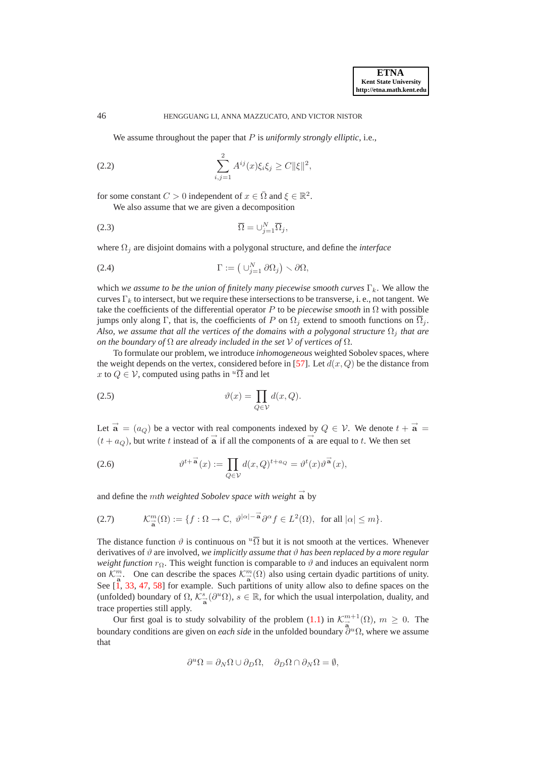<span id="page-5-1"></span>We assume throughout the paper that P is *uniformly strongly elliptic*, i.e.,

(2.2) 
$$
\sum_{i,j=1}^{2} A^{ij}(x)\xi_{i}\xi_{j} \geq C \|\xi\|^{2},
$$

for some constant  $C > 0$  independent of  $x \in \overline{\Omega}$  and  $\xi \in \mathbb{R}^2$ . We also assume that we are given a decomposition

$$
\overline{\Omega} = \cup_{j=1}^{N} \overline{\Omega}_j,
$$

where Ω<sup>j</sup> are disjoint domains with a polygonal structure, and define the *interface*

(2.4) 
$$
\Gamma := \left(\bigcup_{j=1}^N \partial \Omega_j\right) \setminus \partial \Omega,
$$

which we assume to be the union of finitely many piecewise smooth curves  $\Gamma_k$ . We allow the curves  $\Gamma_k$  to intersect, but we require these intersections to be transverse, i. e., not tangent. We take the coefficients of the differential operator P to be *piecewise smooth* in Ω with possible jumps only along Γ, that is, the coefficients of P on  $\Omega_i$  extend to smooth functions on  $\overline{\Omega}_i$ . *Also, we assume that all the vertices of the domains with a polygonal structure*  $\Omega_i$  *that are on the boundary of* Ω *are already included in the set* V *of vertices of* Ω.

To formulate our problem, we introduce *inhomogeneous* weighted Sobolev spaces, where the weight depends on the vertex, considered before in [\[57\]](#page-27-23). Let  $d(x, Q)$  be the distance from x to  $Q \in \mathcal{V}$ , computed using paths in  $\sqrt[n]{\Omega}$  and let

<span id="page-5-2"></span>(2.5) 
$$
\vartheta(x) = \prod_{Q \in \mathcal{V}} d(x, Q).
$$

Let  $\vec{a} = (a_Q)$  be a vector with real components indexed by  $Q \in \mathcal{V}$ . We denote  $t + \vec{a} =$  $(t + a_Q)$ , but write t instead of  $\vec{a}$  if all the components of  $\vec{a}$  are equal to t. We then set

(2.6) 
$$
\vartheta^{t+\vec{a}}(x) := \prod_{Q \in \mathcal{V}} d(x,Q)^{t+a_Q} = \vartheta^t(x)\vartheta^{\vec{a}}(x),
$$

and define the *mth weighted Sobolev space with weight*  $\vec{a}$  by

(2.7) 
$$
\mathcal{K}_{\overrightarrow{a}}^m(\Omega) := \{ f : \Omega \to \mathbb{C}, \ \vartheta^{|\alpha| - \overrightarrow{a}} \partial^{\alpha} f \in L^2(\Omega), \text{ for all } |\alpha| \leq m \}.
$$

The distance function  $\vartheta$  is continuous on  $\sqrt[n]{\Omega}$  but it is not smooth at the vertices. Whenever derivatives of  $\vartheta$  are involved, *we implicitly assume that*  $\vartheta$  *has been replaced by a more regular weight function*  $r_{\Omega}$ . This weight function is comparable to  $\vartheta$  and induces an equivalent norm on  $\mathcal{K}_{\overrightarrow{a}}^m$ . One can describe the spaces  $\mathcal{K}_{\overrightarrow{a}}^m(\Omega)$  also using certain dyadic partitions of unity. See  $\left[1, 33, 47, 58\right]$  $\left[1, 33, 47, 58\right]$  $\left[1, 33, 47, 58\right]$  $\left[1, 33, 47, 58\right]$  $\left[1, 33, 47, 58\right]$  $\left[1, 33, 47, 58\right]$  $\left[1, 33, 47, 58\right]$  for example. Such partitions of unity allow also to define spaces on the (unfolded) boundary of  $\Omega$ ,  $\mathcal{K}_{\vec{a}}^s$  ( $\partial^u \Omega$ ),  $s \in \mathbb{R}$ , for which the usual interpolation, duality, and trace properties still apply.

Our first goal is to study solvability of the problem [\(1.1\)](#page-0-0) in  $\mathcal{K}^{m+1}_{\vec{a}}(\Omega)$ ,  $m \geq 0$ . The boundary conditions are given on *each side* in the unfolded boundary  $\partial^u Ω$ , where we assume that

<span id="page-5-0"></span>
$$
\partial^{u} \Omega = \partial_{N} \Omega \cup \partial_{D} \Omega, \quad \partial_{D} \Omega \cap \partial_{N} \Omega = \emptyset,
$$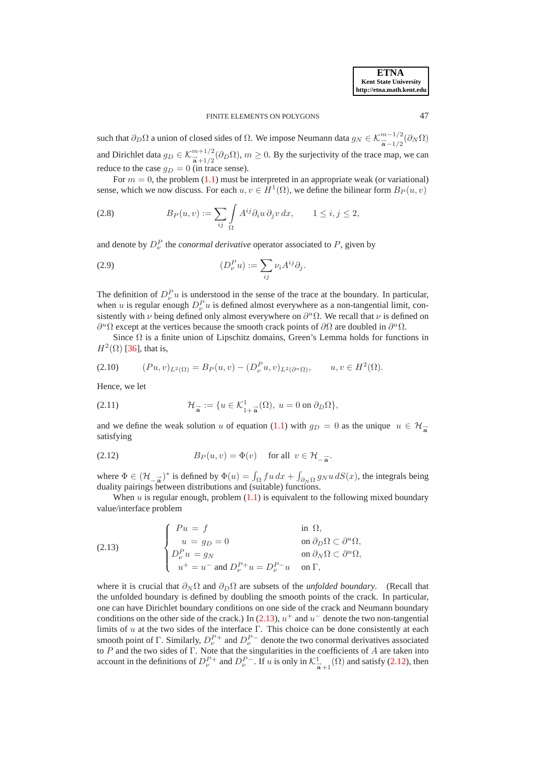such that  $\partial_D \Omega$  a union of closed sides of  $\Omega$ . We impose Neumann data  $g_N \in \mathcal{K}^{m-1/2}_{\vec{a}-1/2}(\partial_N \Omega)$ and Dirichlet data  $g_D \in \mathcal{K}^{m+1/2}_{\overrightarrow{a}+1/2}(\partial_D \Omega), m \ge 0$ . By the surjectivity of the trace map, we can reduce to the case  $q_D = 0$  (in trace sense).

For  $m = 0$ , the problem [\(1.1\)](#page-0-0) must be interpreted in an appropriate weak (or variational) sense, which we now discuss. For each  $u, v \in H^1(\Omega)$ , we define the bilinear form  $B_P(u, v)$ 

(2.8) 
$$
B_P(u,v) := \sum_{ij} \int_{\Omega} A^{ij} \partial_i u \, \partial_j v \, dx, \qquad 1 \leq i, j \leq 2,
$$

and denote by  $D_{\nu}^{P}$  the *conormal derivative* operator associated to  $P$ , given by

(2.9) 
$$
(D_{\nu}^P u) := \sum_{ij} \nu_i A^{ij} \partial_j.
$$

The definition of  $D_{\nu}^{P} u$  is understood in the sense of the trace at the boundary. In particular, when u is regular enough  $D_{\nu}^{P} u$  is defined almost everywhere as a non-tangential limit, consistently with  $\nu$  being defined only almost everywhere on  $\partial^u \Omega$ . We recall that  $\nu$  is defined on  $\partial^u \Omega$  except at the vertices because the smooth crack points of  $\partial \Omega$  are doubled in  $\partial^u \Omega$ .

Since  $\Omega$  is a finite union of Lipschitz domains, Green's Lemma holds for functions in  $H^2(\Omega)$  [\[36\]](#page-27-15), that is,

$$
(2.10) \t(Pu,v)_{L^2(\Omega)} = B_P(u,v) - (D^P_\nu u,v)_{L^2(\partial^u \Omega)}, \t u, v \in H^2(\Omega).
$$

<span id="page-6-2"></span>Hence, we let

(2.11) 
$$
\mathcal{H}_{\vec{a}} := \{ u \in \mathcal{K}_{1+\vec{a}}^1(\Omega), u = 0 \text{ on } \partial_D \Omega \},
$$

<span id="page-6-1"></span>and we define the weak solution u of equation [\(1.1\)](#page-0-0) with  $g_D = 0$  as the unique  $u \in \mathcal{H}^$ satisfying

(2.12) 
$$
B_P(u, v) = \Phi(v) \quad \text{for all } v \in \mathcal{H}_{-\vec{a}}.
$$

where  $\Phi \in (\mathcal{H}_{-\mathbf{a}}^{\mathbf{a}})^*$  is defined by  $\Phi(u) = \int_{\Omega} f u \, dx + \int_{\partial_N \Omega} g_N u \, dS(x)$ , the integrals being duality pairings between distributions and (suitable) functions.

<span id="page-6-0"></span>When u is regular enough, problem  $(1,1)$  is equivalent to the following mixed boundary value/interface problem

(2.13) 
$$
\begin{cases}\nPu = f & \text{in } \Omega, \\
u = g_D = 0 & \text{on } \partial_D \Omega \subset \partial^u \Omega, \\
D_\nu^P u = g_N & \text{on } \partial_N \Omega \subset \partial^u \Omega, \\
u^+ = u^- \text{ and } D_\nu^{P+} u = D_\nu^{P-} u & \text{on } \Gamma,\n\end{cases}
$$

where it is crucial that  $\partial_N \Omega$  and  $\partial_D \Omega$  are subsets of the *unfolded boundary*. (Recall that the unfolded boundary is defined by doubling the smooth points of the crack. In particular, one can have Dirichlet boundary conditions on one side of the crack and Neumann boundary conditions on the other side of the crack.) In [\(2.13\)](#page-6-0),  $u^+$  and  $u^-$  denote the two non-tangential limits of u at the two sides of the interface Γ. This choice can be done consistently at each smooth point of Γ. Similarly,  $D_{\nu}^{P+}$  and  $D_{\nu}^{P-}$  denote the two conormal derivatives associated to  $P$  and the two sides of  $\Gamma$ . Note that the singularities in the coefficients of  $A$  are taken into account in the definitions of  $D^{P+}_{\nu}$  and  $D^{P-}_{\nu}$ . If u is only in  $\mathcal{K}^1_{\vec{a}+1}(\Omega)$  and satisfy [\(2.12\)](#page-6-1), then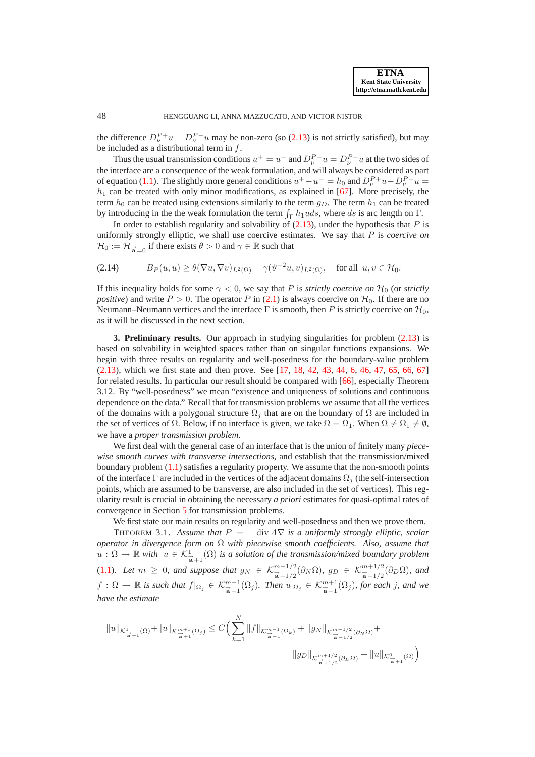the difference  $D_{\nu}^{P+}u - D_{\nu}^{P-}u$  may be non-zero (so [\(2.13\)](#page-6-0) is not strictly satisfied), but may be included as a distributional term in f.

Thus the usual transmission conditions  $u^+ = u^-$  and  $D_{\nu}^{P+} u = D_{\nu}^{P-} u$  at the two sides of the interface are a consequence of the weak formulation, and will always be considered as part of equation [\(1.1\)](#page-0-0). The slightly more general conditions  $u^+ - u^- = h_0$  and  $D_{\nu}^{P+}u - D_{\nu}^{P-}u =$  $h_1$  can be treated with only minor modifications, as explained in [\[67\]](#page-28-6). More precisely, the term  $h_0$  can be treated using extensions similarly to the term  $g_D$ . The term  $h_1$  can be treated by introducing in the the weak formulation the term  $\int_{\Gamma} h_1 u ds$ , where ds is arc length on  $\Gamma$ .

In order to establish regularity and solvability of  $(2.13)$ , under the hypothesis that P is uniformly strongly elliptic, we shall use coercive estimates. We say that P is *coercive on*  $\mathcal{H}_0 := \mathcal{H}_{\vec{a}}$  if there exists  $\theta > 0$  and  $\gamma \in \mathbb{R}$  such that

$$
(2.14) \tB_P(u,u) \ge \theta(\nabla u, \nabla v)_{L^2(\Omega)} - \gamma(\vartheta^{-2}u, v)_{L^2(\Omega)}, \text{ for all } u, v \in \mathcal{H}_0.
$$

If this inequality holds for some  $\gamma < 0$ , we say that P is *strictly coercive on*  $\mathcal{H}_0$  (or *strictly positive*) and write  $P > 0$ . The operator P in [\(2.1\)](#page-4-0) is always coercive on  $H_0$ . If there are no Neumann–Neumann vertices and the interface  $\Gamma$  is smooth, then P is strictly coercive on  $\mathcal{H}_0$ , as it will be discussed in the next section.

<span id="page-7-1"></span>**3. Preliminary results.** Our approach in studying singularities for problem  $(2.13)$  is based on solvability in weighted spaces rather than on singular functions expansions. We begin with three results on regularity and well-posedness for the boundary-value problem [\(2.13\)](#page-6-0), which we first state and then prove. See [\[17,](#page-26-12) [18,](#page-26-17) [42,](#page-27-25) [43,](#page-27-5) [44,](#page-27-2) [6,](#page-26-0) [46,](#page-27-7) [47,](#page-27-24) [65,](#page-28-17) [66,](#page-28-7) [67\]](#page-28-6) for related results. In particular our result should be compared with [\[66\]](#page-28-7), especially Theorem 3.12. By "well-posedness" we mean "existence and uniqueness of solutions and continuous dependence on the data." Recall that for transmission problems we assume that all the vertices of the domains with a polygonal structure  $\Omega_i$  that are on the boundary of  $\Omega$  are included in the set of vertices of  $\Omega$ . Below, if no interface is given, we take  $\Omega = \Omega_1$ . When  $\Omega \neq \Omega_1 \neq \emptyset$ , we have a *proper transmission problem.*

We first deal with the general case of an interface that is the union of finitely many *piecewise smooth curves with transverse intersections*, and establish that the transmission/mixed boundary problem [\(1.1\)](#page-0-0) satisfies a regularity property. We assume that the non-smooth points of the interface Γ are included in the vertices of the adjacent domains  $\Omega_i$  (the self-intersection points, which are assumed to be transverse, are also included in the set of vertices). This regularity result is crucial in obtaining the necessary *a priori* estimates for quasi-optimal rates of convergence in Section [5](#page-14-1) for transmission problems.

We first state our main results on regularity and well-posedness and then we prove them.

<span id="page-7-0"></span>THEOREM 3.1. Assume that  $P = -$  div  $A\nabla$  is a uniformly strongly elliptic, scalar *operator in divergence form on* Ω *with piecewise smooth coefficients. Also, assume that*  $u: \Omega \to \mathbb{R}$  with  $u \in \mathcal{K}^1_{\overline{\mathbf{a}}+1}(\Omega)$  is a solution of the transmission/mixed boundary problem [\(1.1\)](#page-0-0)*.* Let  $m \geq 0$ , and suppose that  $g_N \in \mathcal{K}_{\overline{a}-1/2}^{m-1/2}(\partial_N \Omega)$ ,  $g_D \in \mathcal{K}_{\overline{a}+1/2}^{m+1/2}(\partial_D \Omega)$ , and  $f: \Omega \to \mathbb{R}$  is such that  $f|_{\Omega_j} \in \mathcal{K}^{m-1}_{\overline{\mathbf{a}}-1}(\Omega_j)$ . Then  $u|_{\Omega_j} \in \mathcal{K}^{m+1}_{\overline{\mathbf{a}}+1}(\Omega_j)$ , for each j, and we *have the estimate*

$$
||u||_{\mathcal{K}^{1}_{\frac{1}{\mathbf{a}}+1}(\Omega)}+||u||_{\mathcal{K}^{m+1}_{\frac{1}{\mathbf{a}}+1}(\Omega_{j})} \leq C \Big( \sum_{k=1}^{N} ||f||_{\mathcal{K}^{m-1}_{\frac{1}{\mathbf{a}}-1}(\Omega_{k})} + ||g_{N}||_{\mathcal{K}^{m-1/2}_{\frac{1}{\mathbf{a}}-1/2}(\partial_{N}\Omega)} +
$$
  

$$
||g_{D}||_{\mathcal{K}^{m+1/2}_{\frac{1}{\mathbf{a}}+1/2}(\partial_{D}\Omega)} + ||u||_{\mathcal{K}^{0}_{\frac{1}{\mathbf{a}}+1}(\Omega)} \Big)
$$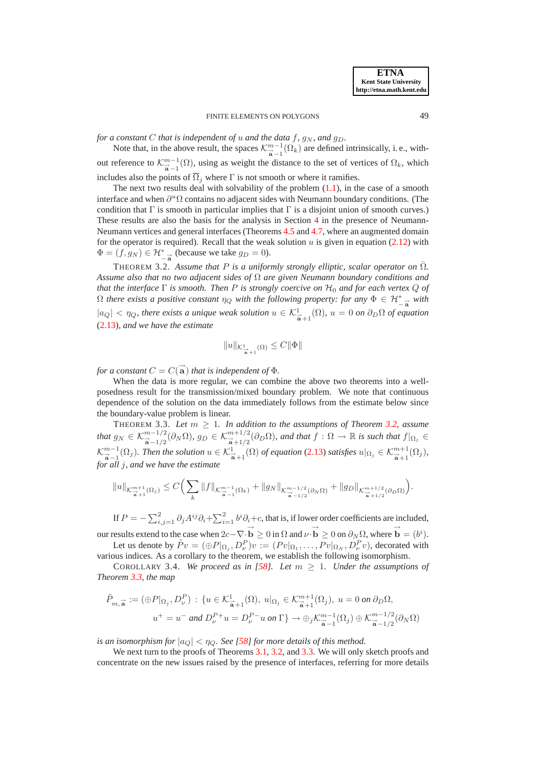*for a constant* C *that is independent of* u *and the data* f,  $g_N$ *, and*  $g_D$ *.* 

Note that, in the above result, the spaces  $\mathcal{K}_{\vec{a}-1}^{m-1}(\Omega_k)$  are defined intrinsically, i.e., without reference to  $\mathcal{K}_{\vec{a}-1}^{m-1}(\Omega)$ , using as weight the distance to the set of vertices of  $\Omega_k$ , which includes also the points of  $\overline{\Omega}_i$  where  $\Gamma$  is not smooth or where it ramifies.

The next two results deal with solvability of the problem  $(1.1)$ , in the case of a smooth interface and when  $\partial^u \Omega$  contains no adjacent sides with Neumann boundary conditions. (The condition that  $\Gamma$  is smooth in particular implies that  $\Gamma$  is a disjoint union of smooth curves.) These results are also the basis for the analysis in Section [4](#page-10-0) in the presence of Neumann-Neumann vertices and general interfaces (Theorems [4.5](#page-12-0) and [4.7,](#page-14-0) where an augmented domain for the operator is required). Recall that the weak solution  $u$  is given in equation [\(2.12\)](#page-6-1) with  $\Phi = (f, g_N) \in \mathcal{H}_{-a}^*$  (because we take  $g_D = 0$ ).

<span id="page-8-1"></span>THEOREM 3.2. Assume that  $P$  is a uniformly strongly elliptic, scalar operator on  $\Omega$ *. Assume also that no two adjacent sides of* Ω *are given Neumann boundary conditions and that the interface* Γ *is smooth. Then* P *is strongly coercive on* H<sup>0</sup> *and for each vertex* Q *of*  $\Omega$  there exists a positive constant  $\eta_Q$  with the following property: for any  $\Phi \in \mathcal{H}_{-\vec{a}}^*$  with  $|a_Q| < \eta_Q$ , there exists a unique weak solution  $u \in \mathcal{K}^1_{\overline{a}+1}(\Omega)$ ,  $u = 0$  on  $\partial_D\Omega$  of equation [\(2.13\)](#page-6-0)*, and we have the estimate*

$$
||u||_{\mathcal{K}^1_{\overrightarrow{B}+1}(\Omega)} \leq C||\Phi||
$$

*for a constant*  $C = C(\vec{a})$  *that is independent of*  $\Phi$ *.* 

When the data is more regular, we can combine the above two theorems into a wellposedness result for the transmission/mixed boundary problem. We note that continuous dependence of the solution on the data immediately follows from the estimate below since the boundary-value problem is linear.

<span id="page-8-0"></span>THEOREM 3.3. Let  $m \geq 1$ . In addition to the assumptions of Theorem [3.2,](#page-8-1) assume  $\mathit{that}\ g_N\in\mathcal{K}^{m-1/2}_{\overrightarrow{\mathbf{a}}-1/2}(\partial_N\Omega),\ g_D\in\mathcal{K}^{m+1/2}_{\overrightarrow{\mathbf{a}}+1/2}(\partial_D\Omega),\ and\ that\ f:\Omega\to\mathbb{R} \ \textit{is such that}\ f|_{\Omega_j}\in\mathcal{K}^{m-1/2}_{\overrightarrow{\mathbf{a}}-1/2}$  $\mathcal{K}_{\overrightarrow{\mathbf{a}}-1}^{m-1}(\Omega_j)$ . Then the solution  $u \in \mathcal{K}_{\overrightarrow{\mathbf{a}}+1}^{1}(\Omega)$  of equation [\(2.13\)](#page-6-0) satisfies  $u|_{\Omega_j} \in \mathcal{K}_{\overrightarrow{\mathbf{a}}+1}^{m+1}(\Omega_j)$ , *for all* j*, and we have the estimate*

$$
||u||_{\mathcal{K}_{\overrightarrow{\mathbf{a}}+1}^{m+1}(\Omega_j)} \leq C \Big( \sum_{k} ||f||_{\mathcal{K}_{\overrightarrow{\mathbf{a}}-1}^{m-1}(\Omega_k)} + ||g_N||_{\mathcal{K}_{\overrightarrow{\mathbf{a}}-1/2}^{m-1/2}(\partial_N \Omega)} + ||g_D||_{\mathcal{K}_{\overrightarrow{\mathbf{a}}+1/2}^{m+1/2}(\partial_D \Omega)} \Big).
$$

If  $P = -\sum_{i,j=1}^{2} \partial_j A^{ij} \partial_i + \sum_{i=1}^{2} b^i \partial_i + c$ , that is, if lower order coefficients are included,

our results extend to the case when  $2c - \nabla \cdot \vec{b} \ge 0$  in  $\Omega$  and  $\nu \cdot \vec{b} \ge 0$  on  $\partial_N \Omega$ , where  $\vec{b} = (b^i)$ . Let us denote by  $\tilde{P}v = (\bigoplus P|_{\Omega_j}, D^P_\nu)v := (Pv|_{\Omega_1}, \dots, Pv|_{\Omega_N}, D^P_\nu v)$ , decorated with

<span id="page-8-2"></span>various indices. As a corollary to the theorem, we establish the following isomorphism. COROLLARY 3.4. *We proceed as in [\[58\]](#page-27-8). Let*  $m \geq 1$ *. Under the assumptions of Theorem [3.3,](#page-8-0) the map*

$$
\tilde{P}_{m,\vec{\mathbf{a}}} := (\oplus P|_{\Omega_j}, D_{\nu}^P) : \{ u \in \mathcal{K}_{\vec{\mathbf{a}}+1}^1(\Omega), u|_{\Omega_j} \in \mathcal{K}_{\vec{\mathbf{a}}+1}^{m+1}(\Omega_j), u = 0 \text{ on } \partial_D \Omega,
$$
  

$$
u^+ = u^- \text{ and } D_{\nu}^{P+}u = D_{\nu}^{P-}u \text{ on } \Gamma \} \to \oplus_j \mathcal{K}_{\vec{\mathbf{a}}-1}^{m-1}(\Omega_j) \oplus \mathcal{K}_{\vec{\mathbf{a}}-1/2}^{m-1/2}(\partial_N \Omega)
$$

*is an isomorphism for*  $|a_Q| < \eta_Q$ . See [\[58\]](#page-27-8) *for more details of this method.* 

We next turn to the proofs of Theorems [3.1,](#page-7-0) [3.2,](#page-8-1) and [3.3.](#page-8-0) We will only sketch proofs and concentrate on the new issues raised by the presence of interfaces, referring for more details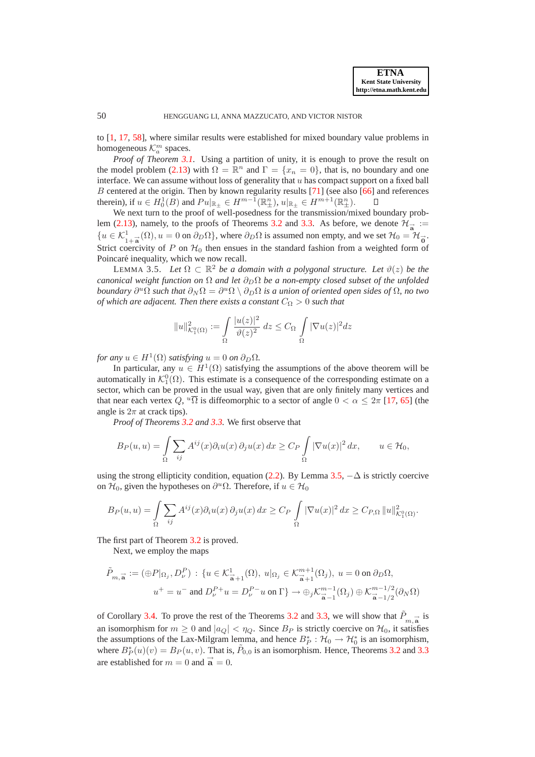to [\[1,](#page-26-24) [17,](#page-26-12) [58\]](#page-27-8), where similar results were established for mixed boundary value problems in homogeneous  $\mathcal{K}_a^m$  spaces.

*Proof of Theorem [3.1.](#page-7-0)* Using a partition of unity, it is enough to prove the result on the model problem [\(2.13\)](#page-6-0) with  $\Omega = \mathbb{R}^n$  and  $\Gamma = \{x_n = 0\}$ , that is, no boundary and one interface. We can assume without loss of generality that  $u$  has compact support on a fixed ball B centered at the origin. Then by known regularity results [\[71\]](#page-28-3) (see also [\[66\]](#page-28-7) and references therein), if  $u \in H_0^1(B)$  and  $Pu|_{\mathbb{R}_\pm} \in H^{m-1}(\mathbb{R}^n_\pm)$ ,  $u|_{\mathbb{R}_\pm} \in H^{m+1}(\mathbb{R}^n_\pm)$ .

We next turn to the proof of well-posedness for the transmission/mixed boundary prob-lem [\(2.13\)](#page-6-0), namely, to the proofs of Theorems [3.2](#page-8-1) and [3.3.](#page-8-0) As before, we denote  $\mathcal{H}_{\vec{a}} :=$  ${u \in \mathcal{K}_{1+\vec{a}}^1(\Omega), u = 0 \text{ on } \partial_D\Omega}$ , where  $\partial_D\Omega$  is assumed non empty, and we set  $\mathcal{H}_0 = \mathcal{H}_{\vec{0}}^{\dagger}$ . Strict coercivity of P on  $H_0$  then ensues in the standard fashion from a weighted form of Poincaré inequality, which we now recall.

<span id="page-9-0"></span>LEMMA 3.5. Let  $\Omega \subset \mathbb{R}^2$  *be a domain with a polygonal structure. Let*  $\vartheta(z)$  *be the canonical weight function on*  $\Omega$  *and let*  $\partial_D \Omega$  *be a non-empty closed subset of the unfolded boundary*  $\partial^u \Omega$  *such that*  $\partial_N \Omega = \partial^u \Omega \setminus \partial_D \Omega$  *is a union of oriented open sides of*  $\Omega$ *, no two of which are adjacent. Then there exists a constant*  $C_{\Omega} > 0$  *such that* 

$$
||u||_{\mathcal{K}_1^0(\Omega)}^2 := \int_{\Omega} \frac{|u(z)|^2}{\vartheta(z)^2} dz \leq C_{\Omega} \int_{\Omega} |\nabla u(z)|^2 dz
$$

*for any*  $u \in H^1(\Omega)$  *satisfying*  $u = 0$  *on*  $\partial_D \Omega$ *.* 

In particular, any  $u \in H^1(\Omega)$  satisfying the assumptions of the above theorem will be automatically in  $\mathcal{K}_1^0(\Omega)$ . This estimate is a consequence of the corresponding estimate on a sector, which can be proved in the usual way, given that are only finitely many vertices and that near each vertex Q,  $^u\overline{\Omega}$  is diffeomorphic to a sector of angle  $0 < \alpha \leq 2\pi$  [\[17,](#page-26-12) [65\]](#page-28-17) (the angle is  $2\pi$  at crack tips).

*Proof of Theorems [3.2](#page-8-1) and [3.3.](#page-8-0)* We first observe that

$$
B_P(u, u) = \int_{\Omega} \sum_{ij} A^{ij}(x) \partial_i u(x) \partial_j u(x) dx \ge C_P \int_{\Omega} |\nabla u(x)|^2 dx, \qquad u \in \mathcal{H}_0,
$$

using the strong ellipticity condition, equation [\(2.2\)](#page-5-1). By Lemma [3.5,](#page-9-0)  $-\Delta$  is strictly coercive on  $\mathcal{H}_0$ , given the hypotheses on  $\partial^u \Omega$ . Therefore, if  $u \in \mathcal{H}_0$ 

$$
B_P(u, u) = \int_{\Omega} \sum_{ij} A^{ij}(x) \partial_i u(x) \partial_j u(x) dx \geq C_P \int_{\Omega} |\nabla u(x)|^2 dx \geq C_{P,\Omega} ||u||^2_{\mathcal{K}^0_1(\Omega)}.
$$

The first part of Theorem [3.2](#page-8-1) is proved.

Next, we employ the maps

$$
\tilde{P}_{m,\overrightarrow{\mathbf{a}}} := (\oplus P|_{\Omega_j}, D_{\nu}^P) : \{ u \in \mathcal{K}_{\overrightarrow{\mathbf{a}}+1}^1(\Omega), u|_{\Omega_j} \in \mathcal{K}_{\overrightarrow{\mathbf{a}}+1}^{m+1}(\Omega_j), u = 0 \text{ on } \partial_D \Omega, \newline u^+ = u^- \text{ and } D_{\nu}^P + u = D_{\nu}^P - u \text{ on } \Gamma \} \to \oplus_j \mathcal{K}_{\overrightarrow{\mathbf{a}}-1}^{m-1}(\Omega_j) \oplus \mathcal{K}_{\overrightarrow{\mathbf{a}}-1/2}^{m-1/2}(\partial_N \Omega)
$$

of Corollary [3.4.](#page-8-2) To prove the rest of the Theorems [3.2](#page-8-1) and [3.3,](#page-8-0) we will show that  $\tilde{P}_{m,\vec{a}}$  is an isomorphism for  $m \geq 0$  and  $|a_Q| < \eta_Q$ . Since  $B_P$  is strictly coercive on  $\mathcal{H}_0$ , it satisfies the assumptions of the Lax-Milgram lemma, and hence  $B_P^*: \mathcal{H}_0 \to \mathcal{H}_0^*$  is an isomorphism, where  $B_P^*(u)(v) = B_P(u, v)$ . That is,  $\tilde{P}_{0,0}$  is an isomorphism. Hence, Theorems [3.2](#page-8-1) and [3.3](#page-8-0) are established for  $m = 0$  and  $\vec{a} = 0$ .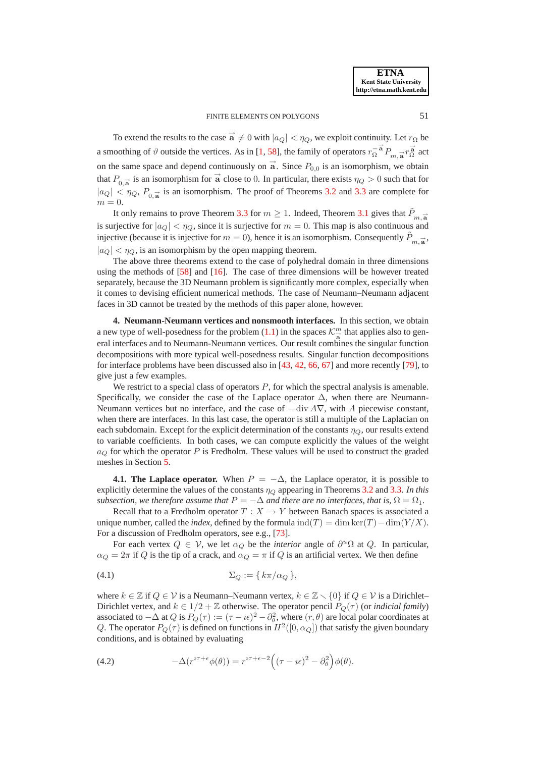To extend the results to the case  $\vec{a} \neq 0$  with  $|a_Q| < \eta_Q$ , we exploit continuity. Let  $r_{\Omega}$  be a smoothing of  $\vartheta$  outside the vertices. As in [\[1,](#page-26-24) [58\]](#page-27-8), the family of operators  $r_{\Omega}^{-\vec{a}} P_{m,\vec{a}} r_{\Omega}^{\vec{a}}$  act on the same space and depend continuously on  $\overrightarrow{a}$ . Since  $P_{0,0}$  is an isomorphism, we obtain that  $P_{0,\vec{a}}$  is an isomorphism for  $\vec{a}$  close to 0. In particular, there exists  $\eta_Q > 0$  such that for  $|a_Q| < \eta_Q$ ,  $P_{0,\vec{a}}$  is an isomorphism. The proof of Theorems [3.2](#page-8-1) and [3.3](#page-8-0) are complete for  $m = 0$ .

It only remains to prove Theorem [3.3](#page-8-0) for  $m \ge 1$ . Indeed, Theorem [3.1](#page-7-0) gives that  $\tilde{P}_{m, \vec{a}}$ is surjective for  $|a_Q| < \eta_Q$ , since it is surjective for  $m = 0$ . This map is also continuous and injective (because it is injective for  $m = 0$ ), hence it is an isomorphism. Consequently  $\tilde{P}_{m, \vec{a}}$ ,  $|a_Q| < \eta_Q$ , is an isomorphism by the open mapping theorem.

The above three theorems extend to the case of polyhedral domain in three dimensions using the methods of  $[58]$  and  $[16]$ . The case of three dimensions will be however treated separately, because the 3D Neumann problem is significantly more complex, especially when it comes to devising efficient numerical methods. The case of Neumann–Neumann adjacent faces in 3D cannot be treated by the methods of this paper alone, however.

<span id="page-10-0"></span>**4. Neumann-Neumann vertices and nonsmooth interfaces.** In this section, we obtain a new type of well-posedness for the problem [\(1.1\)](#page-0-0) in the spaces  $\mathcal{K}_{\overrightarrow{a}}^{m}$  that applies also to general interfaces and to Neumann-Neumann vertices. Our result combines the singular function decompositions with more typical well-posedness results. Singular function decompositions for interface problems have been discussed also in [\[43,](#page-27-5) [42,](#page-27-25) [66,](#page-28-7) [67\]](#page-28-6) and more recently [\[79\]](#page-28-18), to give just a few examples.

We restrict to a special class of operators  $P$ , for which the spectral analysis is amenable. Specifically, we consider the case of the Laplace operator  $\Delta$ , when there are Neumann-Neumann vertices but no interface, and the case of  $-$  div  $A\nabla$ , with A piecewise constant, when there are interfaces. In this last case, the operator is still a multiple of the Laplacian on each subdomain. Except for the explicit determination of the constants  $\eta_O$ , our results extend to variable coefficients. In both cases, we can compute explicitly the values of the weight  $a_Q$  for which the operator P is Fredholm. These values will be used to construct the graded meshes in Section [5.](#page-14-1)

**4.1. The Laplace operator.** When  $P = -\Delta$ , the Laplace operator, it is possible to explicitly determine the values of the constants  $\eta_Q$  appearing in Theorems [3.2](#page-8-1) and [3.3.](#page-8-0) In this *subsection, we therefore assume that*  $P = -\Delta$  *and there are no interfaces, that is,*  $\Omega = \Omega_1$ *.* 

Recall that to a Fredholm operator  $T : X \to Y$  between Banach spaces is associated a unique number, called the *index*, defined by the formula ind(T) = dim ker(T) – dim(Y/X). For a discussion of Fredholm operators, see e.g., [\[73\]](#page-28-19).

<span id="page-10-1"></span>For each vertex  $Q \in V$ , we let  $\alpha_Q$  be the *interior* angle of  $\partial^u \Omega$  at  $Q$ . In particular,  $\alpha_Q = 2\pi$  if Q is the tip of a crack, and  $\alpha_Q = \pi$  if Q is an artificial vertex. We then define

$$
(4.1) \t\t \Sigma_Q := \{ k\pi/\alpha_Q \},
$$

where  $k \in \mathbb{Z}$  if  $Q \in \mathcal{V}$  is a Neumann–Neumann vertex,  $k \in \mathbb{Z} \setminus \{0\}$  if  $Q \in \mathcal{V}$  is a Dirichlet– Dirichlet vertex, and  $k \in 1/2 + \mathbb{Z}$  otherwise. The operator pencil  $P_Q(\tau)$  (or *indicial family*) associated to  $-\Delta$  at  $Q$  is  $P_Q(\tau) := (\tau - \nu \epsilon)^2 - \partial_\theta^2$ , where  $(r, \theta)$  are local polar coordinates at Q. The operator  $P_Q(\tau)$  is defined on functions in  $H^2([0, \alpha_Q])$  that satisfy the given boundary conditions, and is obtained by evaluating

(4.2) 
$$
-\Delta(r^{i\tau+\epsilon}\phi(\theta)) = r^{i\tau+\epsilon-2}\Big((\tau-\imath\epsilon)^2-\partial_\theta^2\Big)\phi(\theta).
$$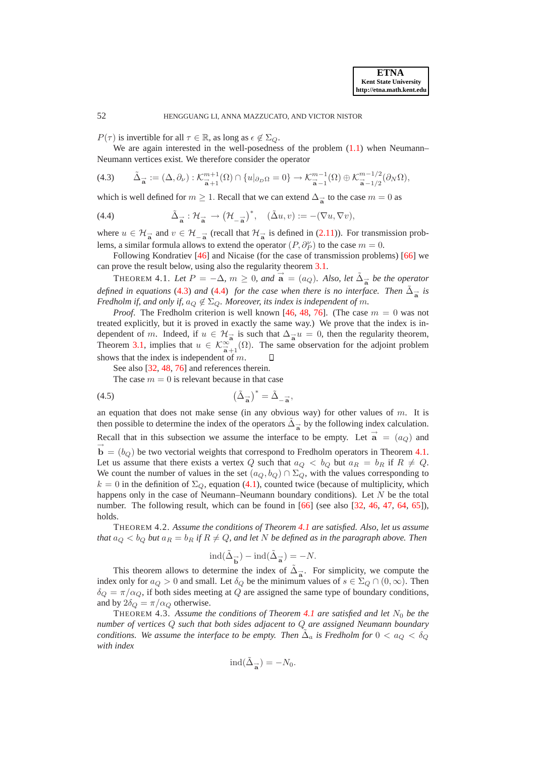$P(\tau)$  is invertible for all  $\tau \in \mathbb{R}$ , as long as  $\epsilon \notin \Sigma_Q$ .

<span id="page-11-0"></span>We are again interested in the well-posedness of the problem  $(1.1)$  when Neumann– Neumann vertices exist. We therefore consider the operator

$$
(4.3) \qquad \tilde{\Delta}_{\overrightarrow{\mathbf{a}}} := (\Delta, \partial_{\nu}) : \mathcal{K}^{m+1}_{\overrightarrow{\mathbf{a}}+1}(\Omega) \cap \{u|_{\partial_D\Omega} = 0\} \to \mathcal{K}^{m-1}_{\overrightarrow{\mathbf{a}}-1}(\Omega) \oplus \mathcal{K}^{m-1/2}_{\overrightarrow{\mathbf{a}}-1/2}(\partial_N\Omega),
$$

<span id="page-11-1"></span>which is well defined for  $m \ge 1$ . Recall that we can extend  $\Delta_{\vec{a}}$  to the case  $m = 0$  as

(4.4) 
$$
\tilde{\Delta}_{\vec{a}} : \mathcal{H}_{\vec{a}} \to (\mathcal{H}_{-\vec{a}})^*, \quad (\tilde{\Delta}u, v) := -(\nabla u, \nabla v),
$$

where  $u \in \mathcal{H}_{\overrightarrow{a}}$  and  $v \in \mathcal{H}_{-\overrightarrow{a}}$  (recall that  $\mathcal{H}_{\overrightarrow{a}}$  is defined in [\(2.11\)](#page-6-2)). For transmission problems, a similar formula allows to extend the operator  $(P, \partial_P^{\nu})$  to the case  $m = 0$ .

Following Kondratiev [\[46\]](#page-27-7) and Nicaise (for the case of transmission problems) [\[66\]](#page-28-7) we can prove the result below, using also the regularity theorem [3.1.](#page-7-0)

<span id="page-11-2"></span>THEOREM 4.1. Let  $P = -\Delta$ ,  $m \ge 0$ , and  $\vec{a} = (a_Q)$ . Also, let  $\tilde{\Delta}_{\vec{a}}$  be the operator *defined in equations* [\(4.3\)](#page-11-0) *and* [\(4.4\)](#page-11-1) *for the case when there is no interface. Then*  $\tilde{\Delta}_{\vec{a}}$  *is Fredholm if, and only if,*  $a_{\Omega} \notin \Sigma_{\Omega}$ *. Moreover, its index is independent of m.* 

*Proof.* The Fredholm criterion is well known [\[46,](#page-27-7) [48,](#page-27-26) [76\]](#page-28-20). (The case  $m = 0$  was not treated explicitly, but it is proved in exactly the same way.) We prove that the index is independent of m. Indeed, if  $u \in \mathcal{H}_{\overrightarrow{a}}$  is such that  $\Delta_{\overrightarrow{a}}u = 0$ , then the regularity theorem, Theorem [3.1,](#page-7-0) implies that  $u \in \mathcal{K}^{\infty}_{\vec{a}+1}(\Omega)$ . The same observation for the adjoint problem shows that the index is independent of m.

See also [\[32,](#page-27-27) [48,](#page-27-26) [76\]](#page-28-20) and references therein.

<span id="page-11-5"></span>The case  $m = 0$  is relevant because in that case

$$
\left(\tilde{\Delta}_{\overrightarrow{a}}\right)^* = \tilde{\Delta}_{-\overrightarrow{a}},
$$

an equation that does not make sense (in any obvious way) for other values of  $m$ . It is then possible to determine the index of the operators  $\tilde{\Delta}_{\vec{a}}$  by the following index calculation. Recall that in this subsection we assume the interface to be empty. Let  $\vec{a} = (a_Q)$  and  $\vec{b} = (b_Q)$  be two vectorial weights that correspond to Fredholm operators in Theorem [4.1.](#page-11-2) Let us assume that there exists a vertex Q such that  $a_Q < b_Q$  but  $a_R = b_R$  if  $R \neq Q$ . We count the number of values in the set  $(a_Q, b_Q) \cap \Sigma_Q$ , with the values corresponding to  $k = 0$  in the definition of  $\Sigma_Q$ , equation [\(4.1\)](#page-10-1), counted twice (because of multiplicity, which happens only in the case of Neumann–Neumann boundary conditions). Let N be the total number. The following result, which can be found in [\[66\]](#page-28-7) (see also [\[32,](#page-27-27) [46,](#page-27-7) [47,](#page-27-24) [64,](#page-28-21) [65\]](#page-28-17)), holds.

<span id="page-11-3"></span>THEOREM 4.2. *Assume the conditions of Theorem [4.1](#page-11-2) are satisfied. Also, let us assume that*  $a_Q < b_Q$  *but*  $a_R = b_R$  *if*  $R \neq Q$ *, and let* N *be defined as in the paragraph above. Then* 

$$
\operatorname{ind}(\tilde{\Delta}_{\overrightarrow{\mathbf{b}}}) - \operatorname{ind}(\tilde{\Delta}_{\overrightarrow{\mathbf{a}}}) = -N.
$$

This theorem allows to determine the index of  $\tilde{\Delta}_{\vec{a}}$ . For simplicity, we compute the index only for  $a_Q > 0$  and small. Let  $\delta_Q$  be the minimum values of  $s \in \Sigma_Q \cap (0,\infty)$ . Then  $\delta_Q = \pi/\alpha_Q$ , if both sides meeting at Q are assigned the same type of boundary conditions, and by  $2\delta_Q = \pi/\alpha_Q$  otherwise.

<span id="page-11-4"></span>THEOREM 4.3. Assume the conditions of Theorem [4.1](#page-11-2) are satisfied and let  $N_0$  be the *number of vertices* Q *such that both sides adjacent to* Q *are assigned Neumann boundary conditions. We assume the interface to be empty. Then*  $\tilde{\Delta}_a$  *is Fredholm for*  $0 < a_Q < \delta_Q$ *with index*

$$
\operatorname{ind}(\tilde{\Delta}_{\overrightarrow{\mathbf{a}}}) = -N_0.
$$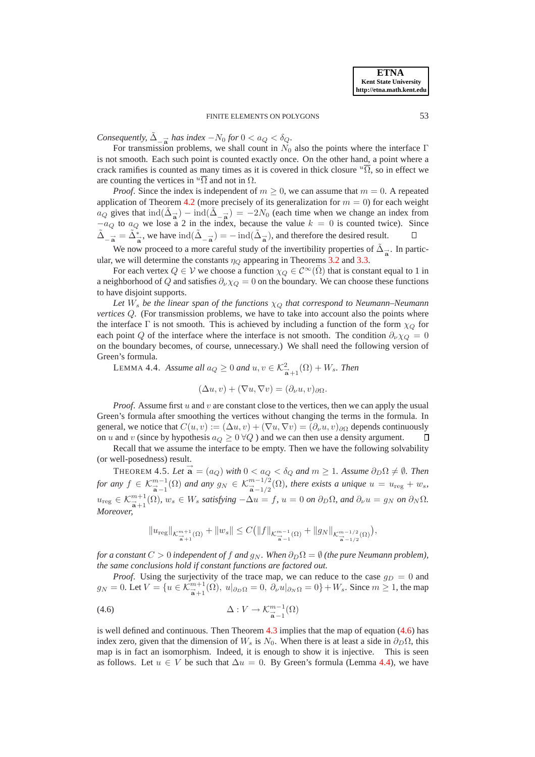*Consequently,*  $\tilde{\Delta}_{-\vec{a}}$  *has index*  $-N_0$  *for*  $0 < a_Q < \delta_Q$ *.* 

For transmission problems, we shall count in  $N_0$  also the points where the interface Γ is not smooth. Each such point is counted exactly once. On the other hand, a point where a crack ramifies is counted as many times as it is covered in thick closure  $^u\overline{\Omega}$ , so in effect we are counting the vertices in  $^u\overline{\Omega}$  and not in  $\Omega$ .

*Proof.* Since the index is independent of  $m \geq 0$ , we can assume that  $m = 0$ . A repeated application of Theorem [4.2](#page-11-3) (more precisely of its generalization for  $m = 0$ ) for each weight  $a_Q$  gives that  $\text{ind}(\tilde{\Delta}_{\vec{a}}) - \text{ind}(\tilde{\Delta}_{-\vec{a}}) = -2N_0$  (each time when we change an index from  $-a_Q$  to  $a_Q$  we lose a 2 in the index, because the value  $k = 0$  is counted twice). Since  $\tilde{\Delta}_{-\vec{a}} = \tilde{\Delta}_{\vec{a}}^*$ , we have  $\text{ind}(\tilde{\Delta}_{-\vec{a}}) = -\text{ind}(\tilde{\Delta}_{\vec{a}})$ , and therefore the desired result.

We now proceed to a more careful study of the invertibility properties of  $\tilde{\Delta}_{\vec{a}}$ . In particular, we will determine the constants  $\eta_Q$  appearing in Theorems [3.2](#page-8-1) and [3.3.](#page-8-0)

For each vertex  $Q \in V$  we choose a function  $\chi_Q \in C^\infty(\overline{\Omega})$  that is constant equal to 1 in a neighborhood of Q and satisfies  $\partial_{\nu}\chi_{Q} = 0$  on the boundary. We can choose these functions to have disjoint supports.

Let  $W_s$  *be the linear span of the functions*  $\chi_Q$  *that correspond to Neumann–Neumann vertices*  $Q$ . (For transmission problems, we have to take into account also the points where the interface Γ is not smooth. This is achieved by including a function of the form  $\chi_{\mathcal{O}}$  for each point Q of the interface where the interface is not smooth. The condition  $\partial_{\nu}\chi_{Q} = 0$ on the boundary becomes, of course, unnecessary.) We shall need the following version of Green's formula.

<span id="page-12-2"></span>LEMMA 4.4. *Assume all*  $a_Q \ge 0$  *and*  $u, v \in \mathcal{K}^2_{\overline{\mathbf{a}}+1}(\Omega) + W_s$ . *Then* 

$$
(\Delta u, v) + (\nabla u, \nabla v) = (\partial_{\nu} u, v)_{\partial \Omega}.
$$

*Proof.* Assume first u and v are constant close to the vertices, then we can apply the usual Green's formula after smoothing the vertices without changing the terms in the formula. In general, we notice that  $C(u, v) := (\Delta u, v) + (\nabla u, \nabla v) = (\partial_{\nu} u, v)_{\partial \Omega}$  depends continuously<br>on u and v (since by hypothesis  $a_{\Omega} > 0$   $\forall \Omega$ ) and we can then use a density argument. on u and v (since by hypothesis  $a_Q \geq 0 \forall Q$ ) and we can then use a density argument.

Recall that we assume the interface to be empty. Then we have the following solvability (or well-posedness) result.

<span id="page-12-0"></span>THEOREM 4.5. Let  $\vec{a} = (a_Q)$  with  $0 < a_Q < \delta_Q$  and  $m \ge 1$ . Assume  $\partial_D \Omega \ne \emptyset$ . Then *for any*  $f \in \mathcal{K}_{\overrightarrow{a}-1}^{m-1}(\Omega)$  *and any*  $g_N \in \mathcal{K}_{\overrightarrow{a}-1/2}^{m-1/2}(\Omega)$ *, there exists a unique*  $u = u_{\text{reg}} + w_s$ *,*  $u_{\text{reg}} \in \mathcal{K}_{\overrightarrow{a}+1}^{m+1}(\Omega)$ ,  $w_s \in W_s$  *satisfying*  $-\Delta u = f$ ,  $u = 0$  *on*  $\partial_D \Omega$ , and  $\partial_\nu u = g_N$  *on*  $\partial_N \Omega$ . *Moreover,*

<span id="page-12-1"></span>
$$
\|u_{\rm reg}\|_{\mathcal{K}^{m+1}_{\frac{\alpha}{\alpha}+1}(\Omega)}+\|w_s\|\leq C\big(\|f\|_{\mathcal{K}^{m-1}_{\frac{\alpha}{\alpha}-1}(\Omega)}+\|g_N\|_{\mathcal{K}^{m-1/2}_{\frac{\alpha}{\alpha}-1/2}(\Omega)}\big),
$$

*for a constant*  $C > 0$  *independent of f and*  $g_N$ *. When*  $\partial_D \Omega = \emptyset$  *(the pure Neumann problem), the same conclusions hold if constant functions are factored out.*

*Proof.* Using the surjectivity of the trace map, we can reduce to the case  $g_D = 0$  and  $g_N = 0$ . Let  $V = \{u \in \mathcal{K}_{\vec{a}+1}^{m+1}(\Omega), u|_{\partial_D \Omega} = 0, \ \partial_\nu u|_{\partial_N \Omega} = 0\} + W_s$ . Since  $m \ge 1$ , the map

(4.6) 
$$
\Delta: V \to \mathcal{K}_{\vec{a}-1}^{m-1}(\Omega)
$$

is well defined and continuous. Then Theorem  $4.3$  implies that the map of equation  $(4.6)$  has index zero, given that the dimension of  $W_s$  is  $N_0$ . When there is at least a side in  $\partial_D\Omega$ , this map is in fact an isomorphism. Indeed, it is enough to show it is injective. This is seen as follows. Let  $u \in V$  be such that  $\Delta u = 0$ . By Green's formula (Lemma [4.4\)](#page-12-2), we have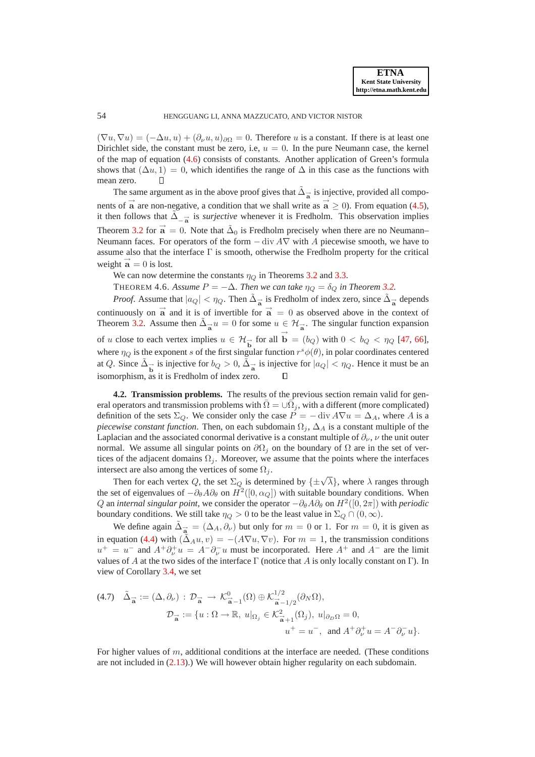$(\nabla u, \nabla u) = (-\Delta u, u) + (\partial_\nu u, u)_{\partial \Omega} = 0$ . Therefore u is a constant. If there is at least one Dirichlet side, the constant must be zero, i.e,  $u = 0$ . In the pure Neumann case, the kernel of the map of equation [\(4.6\)](#page-12-1) consists of constants. Another application of Green's formula shows that  $(\Delta u, 1) = 0$ , which identifies the range of  $\Delta$  in this case as the functions with mean zero.  $\Box$ 

The same argument as in the above proof gives that  $\tilde{\Delta}_{\vec{a}}$  is injective, provided all components of  $\vec{a}$  are non-negative, a condition that we shall write as  $\vec{a} \ge 0$ ). From equation [\(4.5\)](#page-11-5), it then follows that  $\tilde{\Delta}_{-\vec{a}}$  is *surjective* whenever it is Fredholm. This observation implies Theorem [3.2](#page-8-1) for  $\vec{a} = 0$ . Note that  $\tilde{\Delta}_0$  is Fredholm precisely when there are no Neumann– Neumann faces. For operators of the form  $-\text{div } A\nabla$  with A piecewise smooth, we have to assume also that the interface  $\Gamma$  is smooth, otherwise the Fredholm property for the critical weight  $\vec{a} = 0$  is lost.

We can now determine the constants  $\eta_Q$  in Theorems [3.2](#page-8-1) and [3.3.](#page-8-0)

THEOREM 4.6. *Assume*  $P = -\Delta$ *. Then we can take*  $\eta_Q = \delta_Q$  *in Theorem [3.2.](#page-8-1)* 

*Proof.* Assume that  $|a_Q| < \eta_Q$ . Then  $\tilde{\Delta}_{\overrightarrow{a}}$  is Fredholm of index zero, since  $\tilde{\Delta}_{\overrightarrow{a}}$  depends continuously on  $\vec{a}$  and it is of invertible for  $\vec{a} = 0$  as observed above in the context of Theorem [3.2.](#page-8-1) Assume then  $\tilde{\Delta}_{\vec{a}} u = 0$  for some  $u \in \mathcal{H}_{\vec{a}}$ . The singular function expansion of u close to each vertex implies  $u \in \mathcal{H}_{\overrightarrow{b}}$  for all  $\overrightarrow{b} = (b_Q)$  with  $0 < b_Q < \eta_Q$  [\[47,](#page-27-24) [66\]](#page-28-7), where  $\eta_Q$  is the exponent s of the first singular function  $r^s \phi(\theta)$ , in polar coordinates centered at Q. Since  $\tilde{\Delta}_{\overrightarrow{b}}$  is injective for  $b_Q > 0$ ,  $\tilde{\Delta}_{\overrightarrow{a}}$  is injective for  $|a_Q| < \eta_Q$ . Hence it must be an isomorphism, as it is Fredholm of index zero.  $\Box$ 

**4.2. Transmission problems.** The results of the previous section remain valid for general operators and transmission problems with  $\overline{\Omega} = \cup \overline{\Omega}_j$ , with a different (more complicated) definition of the sets  $\Sigma_Q$ . We consider only the case  $P = -\text{div } A \nabla u = \Delta_A$ , where A is a *piecewise constant function*. Then, on each subdomain  $\Omega_i$ ,  $\Delta_A$  is a constant multiple of the Laplacian and the associated conormal derivative is a constant multiple of  $\partial_{\nu}$ ,  $\nu$  the unit outer normal. We assume all singular points on  $\partial\Omega_i$  on the boundary of  $\Omega$  are in the set of vertices of the adjacent domains  $\Omega_j$ . Moreover, we assume that the points where the interfaces intersect are also among the vertices of some  $\Omega_i$ .

Then for each vertex Q, the set  $\Sigma_Q$  is determined by  $\{\pm\sqrt{\lambda}\}\$ , where  $\lambda$  ranges through the set of eigenvalues of  $-\partial_{\theta}A\partial_{\theta}$  on  $H^2([0, \alpha_Q])$  with suitable boundary conditions. When Q an *internal singular point*, we consider the operator  $-\partial_{\theta}A\partial_{\theta}$  on  $H^2([0, 2\pi])$  with *periodic* boundary conditions. We still take  $\eta_Q > 0$  to be the least value in  $\Sigma_Q \cap (0, \infty)$ .

We define again  $\tilde{\Delta}_{\vec{a}} = (\Delta_A, \partial_\nu)$  but only for  $m = 0$  or 1. For  $m = 0$ , it is given as in equation [\(4.4\)](#page-11-1) with  $(\tilde{\Delta}_A u, v) = -(A\nabla u, \nabla v)$ . For  $m = 1$ , the transmission conditions  $u^+ = u^-$  and  $A^+ \partial^+_\nu u = A^- \partial^-_\nu u$  must be incorporated. Here  $A^+$  and  $A^-$  are the limit values of A at the two sides of the interface  $\Gamma$  (notice that A is only locally constant on  $\Gamma$ ). In view of Corollary [3.4,](#page-8-2) we set

$$
(4.7) \quad \tilde{\Delta}_{\vec{a}} := (\Delta, \partial_{\nu}) : \mathcal{D}_{\vec{a}} \to \mathcal{K}_{\vec{a}-1}^{0}(\Omega) \oplus \mathcal{K}_{\vec{a}-1/2}^{1/2}(\partial_{N}\Omega),
$$
\n
$$
\mathcal{D}_{\vec{a}} := \{ u : \Omega \to \mathbb{R}, \ u|_{\Omega_{j}} \in \mathcal{K}_{\vec{a}+1}^{2}(\Omega_{j}), \ u|_{\partial_{D}\Omega} = 0,
$$
\n
$$
u^{+} = u^{-}, \text{ and } A^{+}\partial_{\nu}^{+}u = A^{-}\partial_{\nu}^{-}u \}.
$$

For higher values of m, additional conditions at the interface are needed. (These conditions are not included in [\(2.13\)](#page-6-0).) We will however obtain higher regularity on each subdomain.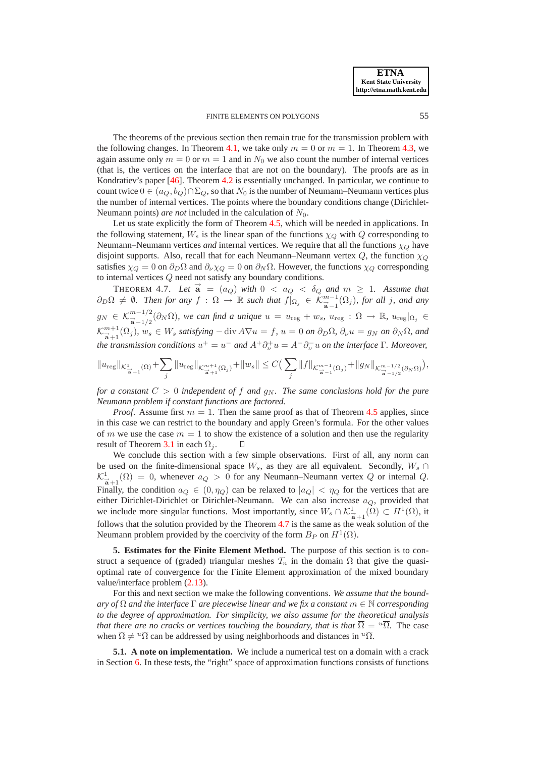The theorems of the previous section then remain true for the transmission problem with the following changes. In Theorem [4.1,](#page-11-2) we take only  $m = 0$  or  $m = 1$ . In Theorem [4.3,](#page-11-4) we again assume only  $m = 0$  or  $m = 1$  and in  $N_0$  we also count the number of internal vertices (that is, the vertices on the interface that are not on the boundary). The proofs are as in Kondratiev's paper [\[46\]](#page-27-7). Theorem [4.2](#page-11-3) is essentially unchanged. In particular, we continue to count twice  $0 \in (a_Q, b_Q) \cap \Sigma_Q$ , so that  $N_0$  is the number of Neumann–Neumann vertices plus the number of internal vertices. The points where the boundary conditions change (Dirichlet-Neumann points) *are not* included in the calculation of  $N_0$ .

Let us state explicitly the form of Theorem [4.5,](#page-12-0) which will be needed in applications. In the following statement,  $W_s$  is the linear span of the functions  $\chi_O$  with Q corresponding to Neumann–Neumann vertices *and* internal vertices. We require that all the functions  $\chi_Q$  have disjoint supports. Also, recall that for each Neumann–Neumann vertex  $Q$ , the function  $\chi_Q$ satisfies  $\chi_Q = 0$  on  $\partial_D \Omega$  and  $\partial_\nu \chi_Q = 0$  on  $\partial_N \Omega$ . However, the functions  $\chi_Q$  corresponding to internal vertices Q need not satisfy any boundary conditions.

<span id="page-14-0"></span>THEOREM 4.7. Let  $\vec{a} = (a_Q)$  with  $0 < a_Q < \delta_Q$  and  $m \ge 1$ . Assume that  $\partial_D\Omega \neq \emptyset$ . Then for any  $f : \Omega \to \mathbb{R}$  such that  $f|_{\Omega_j} \in \mathcal{K}_{\overrightarrow{a}-1}^{m-1}(\Omega_j)$ , for all j, and any  $g_N \in \mathcal{K}^{m-1/2}_{\vec{\mathbf{a}}-1/2}(\partial_N \Omega)$ , we can find a unique  $u = u_{\text{reg}} + w_s$ ,  $u_{\text{reg}} : \Omega \to \mathbb{R}$ ,  $u_{\text{reg}}|_{\Omega_j} \in$  $\mathcal{K}_{\vec{a}+1}^{m+1}(\Omega_j)$ *,*  $w_s \in W_s$  satisfying  $-\text{div } A\nabla u = f$ *,*  $u = 0$  *on*  $\partial_D \Omega$ *,*  $\partial_\nu u = g_N$  *on*  $\partial_N \Omega$ *, and the transmission conditions*  $u^+ = u^-$  *and*  $A^+ \partial^+_\nu u = A^- \partial^-_\nu u$  *on the interface* Γ*. Moreover,* 

$$
||u_{\text{reg}}||_{\mathcal{K}^1_{\frac{1}{\mathbf{a}}+1}(\Omega)} + \sum_{j} ||u_{\text{reg}}||_{\mathcal{K}^{m+1}_{\frac{1}{\mathbf{a}}+1}(\Omega_j)} + ||w_s|| \leq C \Big( \sum_{j} ||f||_{\mathcal{K}^{m-1}_{\frac{1}{\mathbf{a}}-1}(\Omega_j)} + ||g_N||_{\mathcal{K}^{m-1/2}_{\frac{1}{\mathbf{a}}-1/2}(\partial_N \Omega)} \Big),
$$

*for a constant*  $C > 0$  *independent of f and*  $q_N$ *. The same conclusions hold for the pure Neumann problem if constant functions are factored.*

*Proof.* Assume first  $m = 1$ . Then the same proof as that of Theorem [4.5](#page-12-0) applies, since in this case we can restrict to the boundary and apply Green's formula. For the other values of m we use the case  $m = 1$  to show the existence of a solution and then use the regularity result of Theorem [3.1](#page-7-0) in each  $\Omega_j$ .  $\Box$ 

We conclude this section with a few simple observations. First of all, any norm can be used on the finite-dimensional space  $W_s$ , as they are all equivalent. Secondly,  $W_s \cap$  $\mathcal{K}^1_{\vec{a}+1}(\Omega) = 0$ , whenever  $a_Q > 0$  for any Neumann–Neumann vertex Q or internal Q. Finally, the condition  $a_Q \in (0, \eta_Q)$  can be relaxed to  $|a_Q| < \eta_Q$  for the vertices that are either Dirichlet-Dirichlet or Dirichlet-Neumann. We can also increase  $a_Q$ , provided that we include more singular functions. Most importantly, since  $W_s \cap \mathcal{K}^1_{\vec{a}+1}(\Omega) \subset H^1(\Omega)$ , it follows that the solution provided by the Theorem [4.7](#page-14-0) is the same as the weak solution of the Neumann problem provided by the coercivity of the form  $B_P$  on  $H^1(\Omega)$ .

<span id="page-14-1"></span>**5. Estimates for the Finite Element Method.** The purpose of this section is to construct a sequence of (graded) triangular meshes  $\mathcal{T}_n$  in the domain  $\Omega$  that give the quasioptimal rate of convergence for the Finite Element approximation of the mixed boundary value/interface problem [\(2.13\)](#page-6-0).

For this and next section we make the following conventions. *We assume that the boundary of* <sup>Ω</sup> *and the interface* <sup>Γ</sup> *are piecewise linear and we fix a constant* <sup>m</sup> <sup>∈</sup> <sup>N</sup> *corresponding to the degree of approximation. For simplicity, we also assume for the theoretical analysis that there are no cracks or vertices touching the boundary, that is that*  $\overline{\Omega} = {^u\overline{\Omega}}$ . The case when  $\overline{\Omega} \neq u\overline{\Omega}$  can be addressed by using neighborhoods and distances in  $u\overline{\Omega}$ .

**5.1. A note on implementation.** We include a numerical test on a domain with a crack in Section [6.](#page-20-0) In these tests, the "right" space of approximation functions consists of functions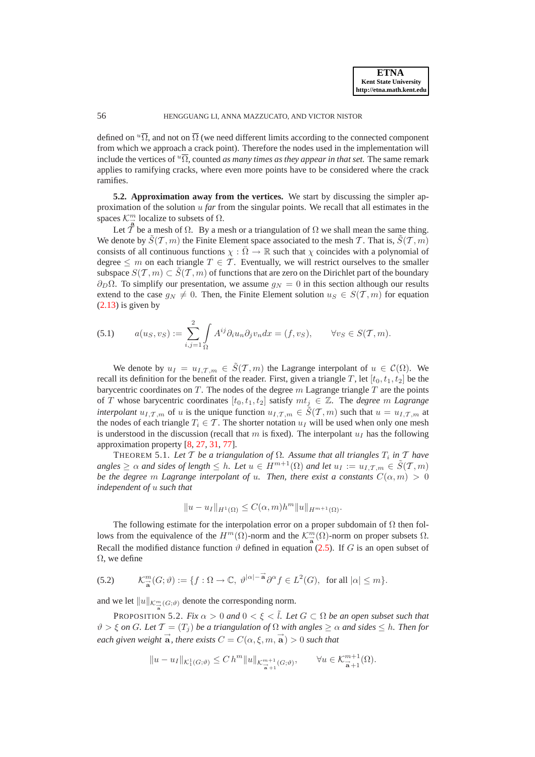defined on  $\overline{u\Omega}$ , and not on  $\overline{\Omega}$  (we need different limits according to the connected component from which we approach a crack point). Therefore the nodes used in the implementation will include the vertices of  $\sqrt[u]{\Omega}$ , counted *as many times as they appear in that set*. The same remark applies to ramifying cracks, where even more points have to be considered where the crack ramifies.

<span id="page-15-2"></span>**5.2. Approximation away from the vertices.** We start by discussing the simpler approximation of the solution u *far* from the singular points. We recall that all estimates in the spaces  $\mathcal{K}_{\frac{m}{8}}^{m}$  localize to subsets of  $\Omega$ .

Let  $\tilde{T}$  be a mesh of  $\Omega$ . By a mesh or a triangulation of  $\Omega$  we shall mean the same thing. We denote by  $\tilde{S}(\mathcal{T},m)$  the Finite Element space associated to the mesh T. That is,  $\tilde{S}(\mathcal{T},m)$ consists of all continuous functions  $\chi : \Omega \to \mathbb{R}$  such that  $\chi$  coincides with a polynomial of degree  $\leq m$  on each triangle  $T \in \mathcal{T}$ . Eventually, we will restrict ourselves to the smaller subspace  $S(T, m) \subset \tilde{S}(T, m)$  of functions that are zero on the Dirichlet part of the boundary  $\partial_D \Omega$ . To simplify our presentation, we assume  $g_N = 0$  in this section although our results extend to the case  $g_N \neq 0$ . Then, the Finite Element solution  $u_S \in S(\mathcal{T}, m)$  for equation  $(2.13)$  is given by

<span id="page-15-0"></span>(5.1) 
$$
a(u_S, v_S) := \sum_{i,j=1}^2 \int_{\Omega} A^{ij} \partial_i u_n \partial_j v_n dx = (f, v_S), \quad \forall v_S \in S(\mathcal{T}, m).
$$

We denote by  $u_I = u_{I,\mathcal{T},m} \in \tilde{S}(\mathcal{T},m)$  the Lagrange interpolant of  $u \in \mathcal{C}(\Omega)$ . We recall its definition for the benefit of the reader. First, given a triangle T, let  $[t_0, t_1, t_2]$  be the barycentric coordinates on  $T$ . The nodes of the degree  $m$  Lagrange triangle  $T$  are the points of T whose barycentric coordinates  $[t_0, t_1, t_2]$  satisfy  $mt_j \in \mathbb{Z}$ . The *degree* m *Lagrange interpolant*  $u_{I,T,m}$  of u is the unique function  $u_{I,T,m} \in \tilde{S}(T,m)$  such that  $u = u_{I,T,m}$  at the nodes of each triangle  $T_i \in \mathcal{T}$ . The shorter notation  $u_I$  will be used when only one mesh is understood in the discussion (recall that m is fixed). The interpolant  $u_I$  has the following approximation property [\[8,](#page-26-20) [27,](#page-26-23) [31,](#page-27-19) [77\]](#page-28-15).

THEOREM 5.1. Let  $T$  be a triangulation of  $\Omega$ . Assume that all triangles  $T_i$  in  $\mathcal{T}$  have  $angles \geq \alpha$  *and sides of length*  $\leq h$ *. Let*  $u \in H^{m+1}(\Omega)$  *and let*  $u_I := u_{I,\mathcal{T},m} \in \mathcal{S}(\mathcal{T},m)$ *be the degree* m *Lagrange interpolant of u. Then, there exist a constants*  $C(\alpha, m) > 0$ *independent of* u *such that*

$$
||u - u_I||_{H^1(\Omega)} \le C(\alpha, m)h^m ||u||_{H^{m+1}(\Omega)}.
$$

The following estimate for the interpolation error on a proper subdomain of  $\Omega$  then follows from the equivalence of the  $H^m(\Omega)$ -norm and the  $\mathcal{K}^m_{\overrightarrow{a}}(\Omega)$ -norm on proper subsets  $\Omega$ . Recall the modified distance function  $\vartheta$  defined in equation [\(2.5\)](#page-5-2). If G is an open subset of  $\Omega$ , we define

(5.2) 
$$
\mathcal{K}_{\overrightarrow{\mathbf{a}}}^{m}(G;\vartheta) := \{f : \Omega \to \mathbb{C}, \ \vartheta^{|\alpha|-\overrightarrow{\mathbf{a}}}\partial^{\alpha}f \in L^{2}(G), \text{ for all } |\alpha| \leq m\}.
$$

<span id="page-15-1"></span>and we let  $||u||_{\mathcal{K}_{\overrightarrow{a}}^m(G;\vartheta)}$  denote the corresponding norm.

PROPOSITION 5.2. *Fix*  $\alpha > 0$  *and*  $0 < \xi < \tilde{l}$ . Let  $G \subset \Omega$  *be an open subset such that*  $\vartheta > \xi$  *on* G. Let  $\mathcal{T} = (T_i)$  be a triangulation of  $\Omega$  with angles  $> \alpha$  and sides  $\leq h$ . Then for  $\vec{e}$  each given weight  $\vec{a}$ , there exists  $C = C(\alpha, \xi, m, \vec{a}) > 0$  such that

$$
||u - u_I||_{\mathcal{K}_1^1(G; \vartheta)} \le C h^m ||u||_{\mathcal{K}_{\overrightarrow{\mathbf{a}}+1}^{m+1}(G; \vartheta)}, \qquad \forall u \in \mathcal{K}_{\overrightarrow{\mathbf{a}}+1}^{m+1}(\Omega).
$$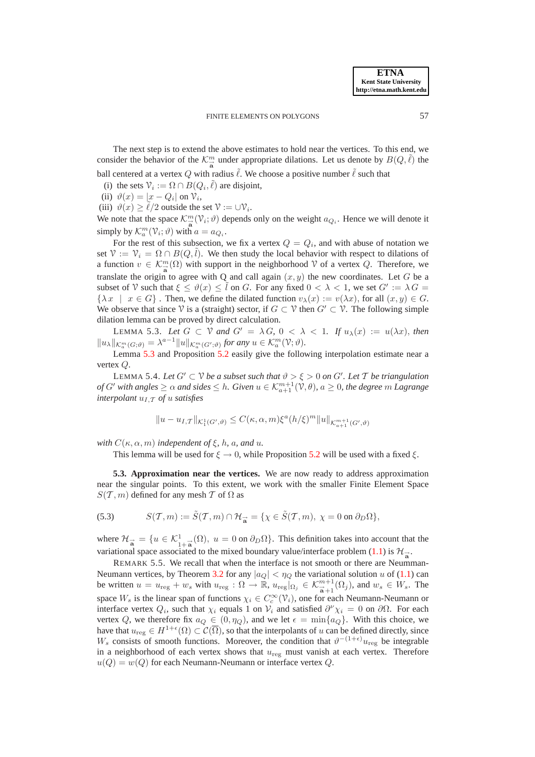The next step is to extend the above estimates to hold near the vertices. To this end, we consider the behavior of the  $\mathcal{K}_{\overline{a}}^m$  under appropriate dilations. Let us denote by  $B(Q,\tilde{\ell})$  the ball centered at a vertex Q with radius  $\ell$ . We choose a positive number  $\ell$  such that

(i) the sets  $\mathcal{V}_i := \Omega \cap B(Q_i, \tilde{\ell})$  are disjoint,

(ii)  $\vartheta(x) = |x - Q_i|$  on  $\vartheta_i$ ,

(iii)  $\vartheta(x) \ge \tilde{\ell}/2$  outside the set  $\vartheta := \cup \vartheta_i$ .

We note that the space  $\mathcal{K}_{\vec{a}}^m(\mathcal{V}_i; \vartheta)$  depends only on the weight  $a_{Q_i}$ . Hence we will denote it simply by  $\mathcal{K}_a^m(\mathcal{V}_i; \vartheta)$  with  $a = a_{Q_i}$ .

For the rest of this subsection, we fix a vertex  $Q = Q_i$ , and with abuse of notation we set  $\mathcal{V} := \mathcal{V}_i = \Omega \cap B(Q, l)$ . We then study the local behavior with respect to dilations of a function  $v \in \mathcal{K}_{\overrightarrow{a}}^m(\Omega)$  with support in the neighborhood  $\mathcal V$  of a vertex  $Q$ . Therefore, we translate the origin to agree with Q and call again  $(x, y)$  the new coordinates. Let G be a subset of V such that  $\xi \le \vartheta(x) \le \tilde{l}$  on G. For any fixed  $0 < \lambda < 1$ , we set  $G' := \lambda G =$  $\{\lambda x \mid x \in G\}$ . Then, we define the dilated function  $v_{\lambda}(x) := v(\lambda x)$ , for all  $(x, y) \in G$ . We observe that since  $\mathcal V$  is a (straight) sector, if  $G \subset \mathcal V$  then  $G' \subset \mathcal V$ . The following simple dilation lemma can be proved by direct calculation.

<span id="page-16-0"></span>LEMMA 5.3. Let  $G \subset V$  and  $G' = \lambda G$ ,  $0 < \lambda < 1$ . If  $u_{\lambda}(x) := u(\lambda x)$ , then  $||u_\lambda||_{\mathcal{K}_a^m(G;\vartheta)} = \lambda^{a-1}||u||_{\mathcal{K}_a^m(G';\vartheta)}$  for any  $u \in \mathcal{K}_a^m(\mathcal{V};\vartheta)$ .

Lemma [5.3](#page-16-0) and Proposition [5.2](#page-15-1) easily give the following interpolation estimate near a vertex Q.

<span id="page-16-2"></span>LEMMA 5.4. *Let*  $G' \subset V$  *be a subset such that*  $\vartheta > \xi > 0$  *on*  $G'$ *. Let*  $T$  *be triangulation of* G' with angles  $\geq \alpha$  and sides  $\leq h$ . Given  $u \in \mathcal{K}_{a+1}^{m+1}(\mathcal{V}, \theta)$ ,  $a \geq 0$ , the degree  $m$  Lagrange *interpolant*  $u_I, \tau$  *of*  $u$  *satisfies* 

<span id="page-16-3"></span>
$$
||u - u_{I,T}||_{\mathcal{K}_1^1(G',\vartheta)} \leq C(\kappa, \alpha, m) \xi^a(h/\xi)^m ||u||_{\mathcal{K}_{\alpha+1}^{m+1}(G',\vartheta)}
$$

*with*  $C(\kappa, \alpha, m)$  *independent of*  $\xi$ *, h, a, and u.* 

This lemma will be used for  $\xi \to 0$ , while Proposition [5.2](#page-15-1) will be used with a fixed  $\xi$ .

**5.3. Approximation near the vertices.** We are now ready to address approximation near the singular points. To this extent, we work with the smaller Finite Element Space  $S(T, m)$  defined for any mesh T of  $\Omega$  as

(5.3) 
$$
S(\mathcal{T},m):=\tilde{S}(\mathcal{T},m)\cap\mathcal{H}_{\vec{a}}=\{\chi\in\tilde{S}(\mathcal{T},m),\ \chi=0\ \text{on}\ \partial_D\Omega\},
$$

where  $\mathcal{H}_{\vec{a}} = \{u \in \mathcal{K}_{1+\vec{a}}^1(\Omega), u = 0 \text{ on } \partial_D\Omega\}$ . This definition takes into account that the variational space associated to the mixed boundary value/interface problem [\(1.1\)](#page-0-0) is  $\mathcal{H}_{\vec{a}}$ .

<span id="page-16-1"></span>REMARK 5.5. We recall that when the interface is not smooth or there are Neumman-Neumann vertices, by Theorem [3.2](#page-8-1) for any  $|a_Q| < \eta_Q$  the variational solution u of [\(1.1\)](#page-0-0) can be written  $u = u_{\text{reg}} + w_s$  with  $u_{\text{reg}} : \Omega \to \mathbb{R}$ ,  $u_{\text{reg}}|_{\Omega_j} \in \mathcal{K}_{\mathbf{a}+1}^{m+1}(\Omega_j)$ , and  $w_s \in W_s$ . The space  $W_s$  is the linear span of functions  $\chi_i \in C_c^{\infty}(\mathcal{V}_i)$ , one for each Neumann-Neumann or interface vertex  $Q_i$ , such that  $\chi_i$  equals 1 on  $\mathcal{V}_i$  and satisfied  $\partial^\nu \chi_i = 0$  on  $\partial \Omega$ . For each vertex Q, we therefore fix  $a_Q \in (0, \eta_Q)$ , and we let  $\epsilon = \min\{a_Q\}$ . With this choice, we have that  $u_{reg} \in H^{1+\epsilon}(\Omega) \subset \mathcal{C}(\overline{\Omega})$ , so that the interpolants of u can be defined directly, since  $W_s$  consists of smooth functions. Moreover, the condition that  $\vartheta^{-(1+\epsilon)}u_{\text{reg}}$  be integrable in a neighborhood of each vertex shows that  $u_{\text{reg}}$  must vanish at each vertex. Therefore  $u(Q) = w(Q)$  for each Neumann-Neumann or interface vertex Q.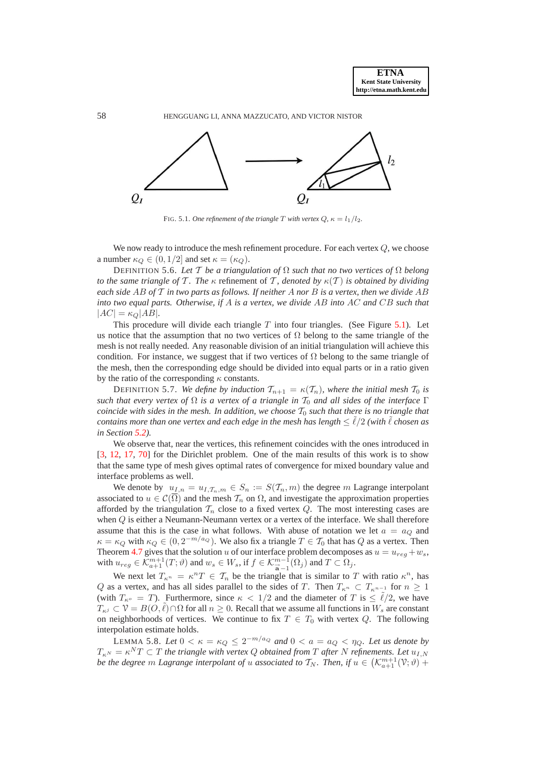

FIG. 5.1. *One refinement of the triangle* T *with vertex*  $Q$ ,  $\kappa = l_1/l_2$ .

We now ready to introduce the mesh refinement procedure. For each vertex Q, we choose a number  $\kappa_Q \in (0, 1/2]$  and set  $\kappa = (\kappa_Q)$ .

<span id="page-17-2"></span>DEFINITION 5.6. *Let* T *be a triangulation of* Ω *such that no two vertices of* Ω *belong to the same triangle of*  $\mathcal T$ *. The*  $\kappa$  refinement of  $\mathcal T$ *, denoted by*  $\kappa(\mathcal T)$  *is obtained by dividing each side* AB *of* T *in two parts as follows. If neither* A *nor* B *is a vertex, then we divide* AB *into two equal parts. Otherwise, if* A *is a vertex, we divide* AB *into* AC *and* CB *such that*  $|AC| = \kappa_Q |AB|$ *.* 

This procedure will divide each triangle  $T$  into four triangles. (See Figure [5.1\)](#page-21-0). Let us notice that the assumption that no two vertices of  $\Omega$  belong to the same triangle of the mesh is not really needed. Any reasonable division of an initial triangulation will achieve this condition. For instance, we suggest that if two vertices of  $\Omega$  belong to the same triangle of the mesh, then the corresponding edge should be divided into equal parts or in a ratio given by the ratio of the corresponding  $\kappa$  constants.

<span id="page-17-1"></span>DEFINITION 5.7. *We define by induction*  $T_{n+1} = \kappa(T_n)$ *, where the initial mesh*  $T_0$  *is such that every vertex of*  $\Omega$  *is a vertex of a triangle in*  $\mathcal{T}_0$  *and all sides of the interface*  $\Gamma$ *coincide with sides in the mesh. In addition, we choose*  $T_0$  *such that there is no triangle that contains more than one vertex and each edge in the mesh has length*  $\leq \ell/2$  *(with*  $\ell$  *chosen as in Section [5.2\)](#page-15-2).*

We observe that, near the vertices, this refinement coincides with the ones introduced in [\[3,](#page-26-25) [12,](#page-26-2) [17,](#page-26-12) [70\]](#page-28-9) for the Dirichlet problem. One of the main results of this work is to show that the same type of mesh gives optimal rates of convergence for mixed boundary value and interface problems as well.

We denote by  $u_{I,n} = u_{I,\mathcal{T}_n,m} \in S_n := S(\mathcal{T}_n,m)$  the degree m Lagrange interpolant associated to  $u \in \mathcal{C}(\overline{\Omega})$  and the mesh  $\mathcal{T}_n$  on  $\Omega$ , and investigate the approximation properties afforded by the triangulation  $\mathcal{T}_n$  close to a fixed vertex  $Q$ . The most interesting cases are when Q is either a Neumann-Neumann vertex or a vertex of the interface. We shall therefore assume that this is the case in what follows. With abuse of notation we let  $a = a<sub>O</sub>$  and  $\kappa = \kappa_Q$  with  $\kappa_Q \in (0, 2^{-m/a_Q})$ . We also fix a triangle  $T \in \mathcal{T}_0$  that has  $Q$  as a vertex. Then Theorem [4.7](#page-14-0) gives that the solution u of our interface problem decomposes as  $u = u_{reg} + w_s$ , with  $u_{reg} \in \mathcal{K}_{a+1}^{m+1}(T; \vartheta)$  and  $w_s \in W_s$ , if  $f \in \mathcal{K}_{\overline{a}-1}^{m-1}(\Omega_j)$  and  $T \subset \Omega_j$ .

We next let  $T_{\kappa^n} = \kappa^n T \in \mathcal{T}_n$  be the triangle that is similar to T with ratio  $\kappa^n$ , has Q as a vertex, and has all sides parallel to the sides of T. Then  $T_{\kappa^n} \subset T_{\kappa^{n-1}}$  for  $n \geq 1$ (with  $T_{\kappa^{\circ}} = T$ ). Furthermore, since  $\kappa < 1/2$  and the diameter of T is  $\leq \ell/2$ , we have  $T_{\kappa}$  $\in \mathcal{V} = B(O,\tilde{\ell}) \cap \Omega$  for all  $n \geq 0$ . Recall that we assume all functions in  $W_s$  are constant on neighborhoods of vertices. We continue to fix  $T \in T_0$  with vertex Q. The following interpolation estimate holds.

<span id="page-17-0"></span>LEMMA 5.8. Let  $0 < \kappa = \kappa_Q \leq 2^{-m/a_Q}$  and  $0 < a = a_Q < \eta_Q$ . Let us denote by  $T_{\kappa^N} = \kappa^N T \subset T$  the triangle with vertex Q obtained from T after N refinements. Let  $u_{I,N}$ *be the degree*  $m$  *Lagrange interpolant of*  $u$  *associated to*  $\mathcal{T}_N$ *. Then, if*  $u \in (\mathcal{K}_{a+1}^{m+1}(\mathcal{V};\vartheta) +$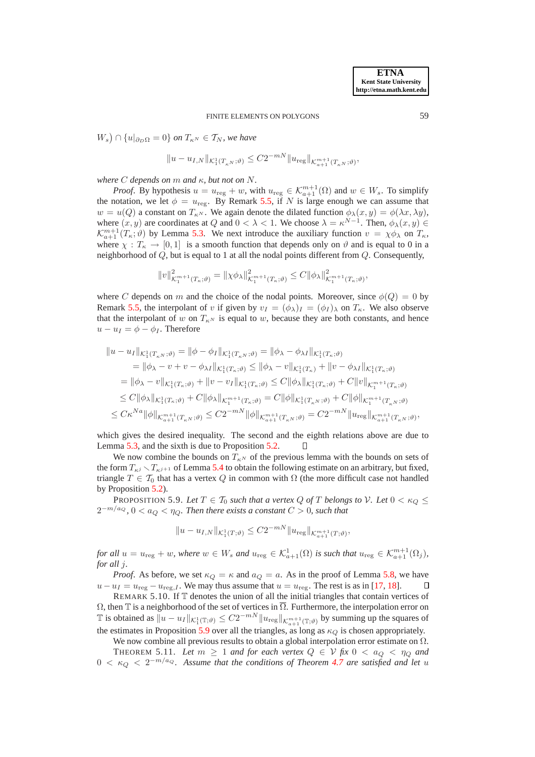$W_s$ )  $\cap$  { $u|_{\partial_D\Omega} = 0$ } on  $T_{\kappa^N} \in T_N$ , we have

$$
||u - u_{I,N}||_{\mathcal{K}_1^1(T_{\kappa^N};\vartheta)} \leq C 2^{-mN} ||u_{\text{reg}}||_{\mathcal{K}_{a+1}^{m+1}(T_{\kappa^N};\vartheta)},
$$

*where* C *depends on* m *and* κ*, but not on* N*.*

*Proof.* By hypothesis  $u = u_{\text{reg}} + w$ , with  $u_{\text{reg}} \in \mathcal{K}_{a+1}^{m+1}(\Omega)$  and  $w \in W_s$ . To simplify the notation, we let  $\phi = u_{\text{reg}}$ . By Remark [5.5,](#page-16-1) if N is large enough we can assume that  $w = u(Q)$  a constant on  $T_{\kappa N}$ . We again denote the dilated function  $\phi_{\lambda}(x, y) = \phi(\lambda x, \lambda y)$ , where  $(x, y)$  are coordinates at Q and  $0 < \lambda < 1$ . We choose  $\lambda = \kappa^{N-1}$ . Then,  $\phi_{\lambda}(x, y) \in$  $\mathcal{K}_{a+1}^{m+1}(T_{\kappa};\vartheta)$  by Lemma [5.3.](#page-16-0) We next introduce the auxiliary function  $v = \chi \phi_{\lambda}$  on  $T_{\kappa}$ , where  $\chi : T_{\kappa} \to [0, 1]$  is a smooth function that depends only on  $\vartheta$  and is equal to 0 in a neighborhood of Q, but is equal to 1 at all the nodal points different from Q. Consequently,

$$
||v||^2_{\mathcal{K}_1^{m+1}(T_{\kappa};\vartheta)} = ||\chi \phi_{\lambda}||^2_{\mathcal{K}_1^{m+1}(T_{\kappa};\vartheta)} \leq C ||\phi_{\lambda}||^2_{\mathcal{K}_1^{m+1}(T_{\kappa};\vartheta)},
$$

where C depends on m and the choice of the nodal points. Moreover, since  $\phi(Q) = 0$  by Remark [5.5,](#page-16-1) the interpolant of v if given by  $v_I = (\phi_\lambda)_I = (\phi_I)_\lambda$  on  $T_\kappa$ . We also observe that the interpolant of w on  $T_{\kappa N}$  is equal to w, because they are both constants, and hence  $u - u_I = \phi - \phi_I$ . Therefore

$$
||u - u_I||_{\mathcal{K}_1^1(T_{\kappa^N};\vartheta)} = ||\phi - \phi_I||_{\mathcal{K}_1^1(T_{\kappa^N};\vartheta)} = ||\phi_{\lambda} - \phi_{\lambda I}||_{\mathcal{K}_1^1(T_{\kappa};\vartheta)}
$$
  
\n
$$
= ||\phi_{\lambda} - v + v - \phi_{\lambda I}||_{\mathcal{K}_1^1(T_{\kappa};\vartheta)} \le ||\phi_{\lambda} - v||_{\mathcal{K}_1^1(T_{\kappa})} + ||v - \phi_{\lambda I}||_{\mathcal{K}_1^1(T_{\kappa};\vartheta)}
$$
  
\n
$$
= ||\phi_{\lambda} - v||_{\mathcal{K}_1^1(T_{\kappa};\vartheta)} + ||v - v_I||_{\mathcal{K}_1^1(T_{\kappa};\vartheta)} \le C ||\phi_{\lambda}||_{\mathcal{K}_1^1(T_{\kappa};\vartheta)} + C ||v||_{\mathcal{K}_1^{m+1}(T_{\kappa};\vartheta)}
$$
  
\n
$$
\le C ||\phi_{\lambda}||_{\mathcal{K}_1^1(T_{\kappa};\vartheta)} + C ||\phi_{\lambda}||_{\mathcal{K}_1^{m+1}(T_{\kappa};\vartheta)} = C ||\phi||_{\mathcal{K}_1^1(T_{\kappa^N};\vartheta)} + C ||\phi||_{\mathcal{K}_1^{m+1}(T_{\kappa^N};\vartheta)}
$$
  
\n
$$
\le C \kappa^{Na} ||\phi||_{\mathcal{K}_{\kappa+1}^{m+1}(T_{\kappa^N};\vartheta)} \le C 2^{-mN} ||\phi||_{\mathcal{K}_{\kappa+1}^{m+1}(T_{\kappa^N};\vartheta)} = C 2^{-mN} ||u_{\text{reg}}||_{\mathcal{K}_{\kappa+1}^{m+1}(T_{\kappa^N};\vartheta)},
$$

which gives the desired inequality. The second and the eighth relations above are due to Lemma [5.3,](#page-16-0) and the sixth is due to Proposition [5.2.](#page-15-1)  $\Box$ 

We now combine the bounds on  $T_{\kappa}N$  of the previous lemma with the bounds on sets of the form  $T_{\kappa j} \setminus T_{\kappa j+1}$  of Lemma [5.4](#page-16-2) to obtain the following estimate on an arbitrary, but fixed, triangle  $T \in \mathcal{T}_0$  that has a vertex Q in common with  $\Omega$  (the more difficult case not handled by Proposition [5.2\)](#page-15-1).

<span id="page-18-1"></span>PROPOSITION 5.9. Let  $T \in \mathcal{T}_0$  such that a vertex Q of T belongs to V. Let  $0 < \kappa_Q \leq$  $2^{-m/a_Q}$ ,  $0 < a_Q < \eta_Q$ . Then there exists a constant  $C > 0$ , such that

$$
||u - u_{I,N}||_{\mathcal{K}_1^1(T; \vartheta)} \leq C2^{-mN} ||u_{\text{reg}}||_{\mathcal{K}_{a+1}^{m+1}(T; \vartheta)},
$$

*for all*  $u = u_{\text{reg}} + w$ *, where*  $w \in W_s$  *and*  $u_{\text{reg}} \in \mathcal{K}_{a+1}^{1}(\Omega)$  *is such that*  $u_{\text{reg}} \in \mathcal{K}_{a+1}^{m+1}(\Omega_j)$ *, for all* j*.*

*Proof.* As before, we set  $\kappa_Q = \kappa$  and  $a_Q = a$ . As in the proof of Lemma [5.8,](#page-17-0) we have  $u - u_I = u_{\text{reg}} - u_{\text{reg},I}$ . We may thus assume that  $u = u_{\text{reg}}$ . The rest is as in [\[17,](#page-26-12) [18\]](#page-26-17).  $\Box$ 

REMARK 5.10. If T denotes the union of all the initial triangles that contain vertices of  $\Omega$ , then T is a neighborhood of the set of vertices in  $\overline{\Omega}$ . Furthermore, the interpolation error on T is obtained as  $||u - u_I||_{\mathcal{K}^1_1(\mathbb{T};\vartheta)} \leq C2^{-mN} ||u_{\text{reg}}||_{\mathcal{K}^{m+1}_{\alpha+1}(\mathbb{T};\vartheta)}$  by summing up the squares of the estimates in Proposition [5.9](#page-18-1) over all the triangles, as long as  $\kappa_Q$  is chosen appropriately.

<span id="page-18-0"></span>We now combine all previous results to obtain a global interpolation error estimate on  $\Omega$ . THEOREM 5.11. Let  $m \geq 1$  and for each vertex  $Q \in V$  fix  $0 < a_Q < \eta_Q$  and  $0 < \kappa_Q < 2^{-m/a_Q}$ . Assume that the conditions of Theorem [4.7](#page-14-0) are satisfied and let u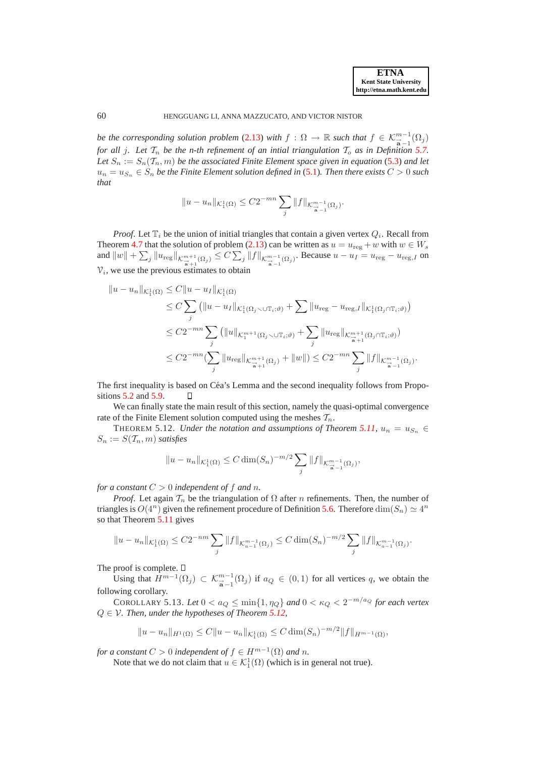*be the corresponding solution problem* [\(2.13\)](#page-6-0) *with*  $f : \Omega \to \mathbb{R}$  *such that*  $f \in \mathcal{K}_{\overline{a}-1}^{m-1}(\Omega_j)$ *for all j. Let*  $\mathcal{T}_n$  *be the n-th refinement of an intial triangulation*  $\mathcal{T}_o$  *as in Definition* [5.7.](#page-17-1) Let  $S_n := S_n(T_n, m)$  *be the associated Finite Element space given in equation* [\(5.3\)](#page-16-3) *and let*  $u_n = u_{S_n} \in S_n$  be the Finite Element solution defined in [\(5.1\)](#page-15-0). Then there exists  $C > 0$  such *that*

$$
||u - u_n||_{\mathcal{K}_1^1(\Omega)} \leq C2^{-mn} \sum_j ||f||_{\mathcal{K}_{\overrightarrow{\mathbf{a}}-1}^{m-1}(\Omega_j)}.
$$

*Proof.* Let  $\mathbb{T}_i$  be the union of initial triangles that contain a given vertex  $Q_i$ . Recall from Theorem [4.7](#page-14-0) that the solution of problem [\(2.13\)](#page-6-0) can be written as  $u = u_{\text{reg}} + w$  with  $w \in W_s$ and  $||w|| + \sum_j ||u_{\text{reg}}||_{\mathcal{K}_{\vec{a}+1}^{m+1}(\Omega_j)} \leq C \sum_j ||f||_{\mathcal{K}_{\vec{a}-1}^{m-1}(\Omega_j)}$ . Because  $u - u_I = u_{\text{reg}} - u_{\text{reg},I}$  on  $V_i$ , we use the previous estimates to obtain

$$
||u - u_n||_{\mathcal{K}_1^1(\Omega)} \leq C ||u - u_I||_{\mathcal{K}_1^1(\Omega)}
$$
  
\n
$$
\leq C \sum_j (||u - u_I||_{\mathcal{K}_1^1(\Omega_j \setminus \cup \mathbb{T}_i; \vartheta)} + \sum ||u_{\text{reg}} - u_{\text{reg},I}||_{\mathcal{K}_1^1(\Omega_j \cap \mathbb{T}_i; \vartheta)})
$$
  
\n
$$
\leq C 2^{-mn} \sum_j (||u||_{\mathcal{K}_1^{m+1}(\Omega_j \setminus \cup \mathbb{T}_i; \vartheta)} + \sum_j ||u_{\text{reg}}||_{\mathcal{K}_{\frac{n}{a}+1}^{m+1}(\Omega_j \cap \mathbb{T}_i; \vartheta)})
$$
  
\n
$$
\leq C 2^{-mn} (\sum_j ||u_{\text{reg}}||_{\mathcal{K}_{\frac{n}{a}+1}^{m+1}(\Omega_j)} + ||w||) \leq C 2^{-mn} \sum_j ||f||_{\mathcal{K}_{\frac{n}{a}-1}^{m-1}(\Omega_j)}.
$$

The first inequality is based on Céa's Lemma and the second inequality follows from Propositions [5.2](#page-15-1) and [5.9.](#page-18-1) П

We can finally state the main result of this section, namely the quasi-optimal convergence rate of the Finite Element solution computed using the meshes  $\mathcal{T}_n$ .

<span id="page-19-0"></span>THEOREM 5.12. *Under the notation and assumptions of Theorem [5.11,](#page-18-0)*  $u_n = u_{S_n} \in$  $S_n := S(\mathcal{T}_n, m)$  *satisfies* 

$$
||u - u_n||_{\mathcal{K}_1^1(\Omega)} \leq C \dim(S_n)^{-m/2} \sum_j ||f||_{\mathcal{K}_{\overrightarrow{a}-1}^{m-1}(\Omega_j)},
$$

*for a constant*  $C > 0$  *independent of*  $f$  *and*  $n$ *.* 

*Proof.* Let again  $\mathcal{T}_n$  be the triangulation of  $\Omega$  after *n* refinements. Then, the number of triangles is  $O(4^n)$  given the refinement procedure of Definition [5.6.](#page-17-2) Therefore  $\dim(S_n) \simeq 4^n$ so that Theorem [5.11](#page-18-0) gives

$$
||u - u_n||_{\mathcal{K}_1^1(\Omega)} \le C2^{-nm} \sum_j ||f||_{\mathcal{K}_{a-1}^{m-1}(\Omega_j)} \le C \dim(S_n)^{-m/2} \sum_j ||f||_{\mathcal{K}_{a-1}^{m-1}(\Omega_j)}.
$$

The proof is complete.  $\square$ 

Using that  $H^{m-1}(\Omega_j) \subset \mathcal{K}_{\overline{a}-1}^{m-1}(\Omega_j)$  if  $a_Q \in (0,1)$  for all vertices q, we obtain the following corollary.

COROLLARY 5.13. Let  $0 < a_Q \le \min\{1, \eta_Q\}$  and  $0 < \kappa_Q < 2^{-m/a_Q}$  for each vertex Q ∈ V*. Then, under the hypotheses of Theorem [5.12,](#page-19-0)*

$$
||u - u_n||_{H^1(\Omega)} \leq C||u - u_n||_{\mathcal{K}_1^1(\Omega)} \leq C \dim(S_n)^{-m/2} ||f||_{H^{m-1}(\Omega)},
$$

*for a constant*  $C > 0$  *independent of*  $f \in H^{m-1}(\Omega)$  *and n*.

Note that we do not claim that  $u \in \mathcal{K}_1^1(\Omega)$  (which is in general not true).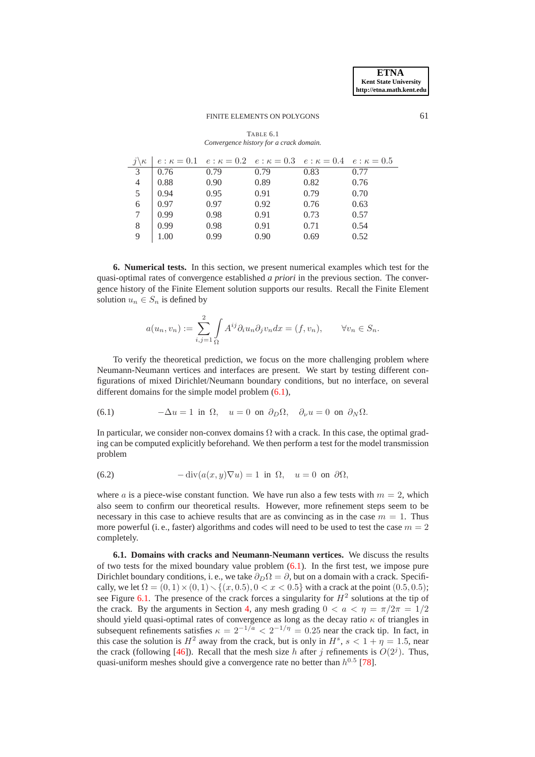|                | $ e:\kappa = 0.1 \quad e:\kappa = 0.2 \quad e:\kappa = 0.3 \quad e:\kappa = 0.4 \quad e:\kappa = 0.5$ |      |      |      |      |
|----------------|-------------------------------------------------------------------------------------------------------|------|------|------|------|
| 3              | 0.76                                                                                                  | 0.79 | 0.79 | 0.83 | 0.77 |
| $\overline{4}$ | 0.88                                                                                                  | 0.90 | 0.89 | 0.82 | 0.76 |
| 5              | $\pm 0.94$                                                                                            | 0.95 | 0.91 | 0.79 | 0.70 |
| 6              | 0.97                                                                                                  | 0.97 | 0.92 | 0.76 | 0.63 |
|                | 0.99                                                                                                  | 0.98 | 0.91 | 0.73 | 0.57 |
| 8              | 0.99                                                                                                  | 0.98 | 0.91 | 0.71 | 0.54 |
| 9              |                                                                                                       | 0.99 | 0.90 | 0.69 | 0.52 |

<span id="page-20-2"></span>TABLE 6.1 *Convergence history for a crack domain.*

<span id="page-20-0"></span>**6. Numerical tests.** In this section, we present numerical examples which test for the quasi-optimal rates of convergence established *a priori* in the previous section. The convergence history of the Finite Element solution supports our results. Recall the Finite Element solution  $u_n \in S_n$  is defined by

<span id="page-20-1"></span>
$$
a(u_n, v_n) := \sum_{i,j=1}^2 \int_{\Omega} A^{ij} \partial_i u_n \partial_j v_n dx = (f, v_n), \qquad \forall v_n \in S_n.
$$

To verify the theoretical prediction, we focus on the more challenging problem where Neumann-Neumann vertices and interfaces are present. We start by testing different configurations of mixed Dirichlet/Neumann boundary conditions, but no interface, on several different domains for the simple model problem  $(6.1)$ ,

(6.1) 
$$
-\Delta u = 1 \text{ in } \Omega, \quad u = 0 \text{ on } \partial_D \Omega, \quad \partial_{\nu} u = 0 \text{ on } \partial_N \Omega.
$$

In particular, we consider non-convex domains  $\Omega$  with a crack. In this case, the optimal grading can be computed explicitly beforehand. We then perform a test for the model transmission problem

<span id="page-20-3"></span>(6.2) 
$$
-\operatorname{div}(a(x,y)\nabla u) = 1 \text{ in } \Omega, \quad u = 0 \text{ on } \partial\Omega,
$$

where a is a piece-wise constant function. We have run also a few tests with  $m = 2$ , which also seem to confirm our theoretical results. However, more refinement steps seem to be necessary in this case to achieve results that are as convincing as in the case  $m = 1$ . Thus more powerful (i. e., faster) algorithms and codes will need to be used to test the case  $m = 2$ completely.

**6.1. Domains with cracks and Neumann-Neumann vertices.** We discuss the results of two tests for the mixed boundary value problem  $(6.1)$ . In the first test, we impose pure Dirichlet boundary conditions, i. e., we take  $\partial_D \Omega = \partial$ , but on a domain with a crack. Specifically, we let  $\Omega = (0, 1) \times (0, 1) \setminus \{(x, 0.5), 0 < x < 0.5\}$  with a crack at the point (0.5, 0.5); see Figure [6.1.](#page-21-0) The presence of the crack forces a singularity for  $H^2$  solutions at the tip of the crack. By the arguments in Section [4,](#page-10-0) any mesh grading  $0 < a < \eta = \pi/2\pi = 1/2$ should yield quasi-optimal rates of convergence as long as the decay ratio  $\kappa$  of triangles in subsequent refinements satisfies  $\kappa = 2^{-1/a} < 2^{-1/\eta} = 0.25$  near the crack tip. In fact, in this case the solution is  $H^2$  away from the crack, but is only in  $H^s$ ,  $s < 1 + \eta = 1.5$ , near the crack (following [\[46\]](#page-27-7)). Recall that the mesh size h after j refinements is  $O(2<sup>j</sup>)$ . Thus, quasi-uniform meshes should give a convergence rate no better than  $h^{0.5}$  [\[78\]](#page-28-8).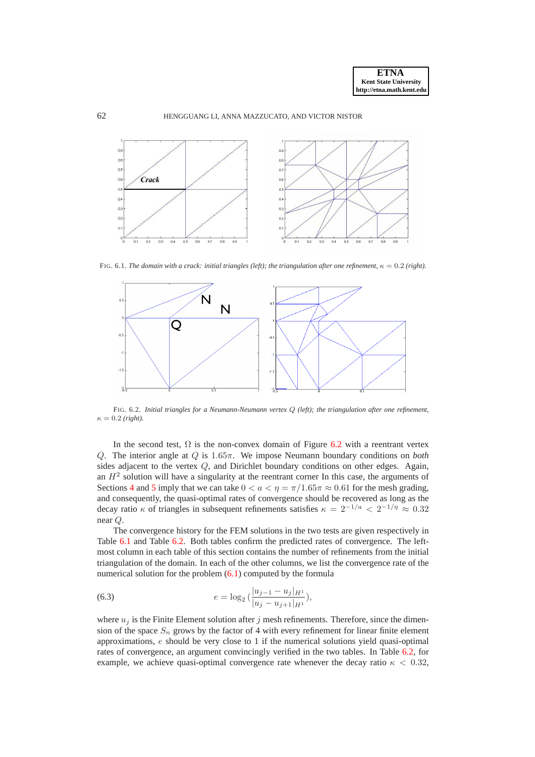



FIG. 6.1. *The domain with a crack: initial triangles (left); the triangulation after one refinement,*  $\kappa = 0.2$  *(right).* 

<span id="page-21-0"></span>

<span id="page-21-1"></span>FIG. 6.2. *Initial triangles for a Neumann-Neumann vertex* Q *(left); the triangulation after one refinement,*  $\kappa = 0.2$  *(right).* 

In the second test,  $\Omega$  is the non-convex domain of Figure [6.2](#page-21-1) with a reentrant vertex Q. The interior angle at Q is 1.65π. We impose Neumann boundary conditions on *both* sides adjacent to the vertex Q, and Dirichlet boundary conditions on other edges. Again, an  $H<sup>2</sup>$  solution will have a singularity at the reentrant corner In this case, the arguments of Sections [4](#page-10-0) and [5](#page-14-1) imply that we can take  $0 < a < \eta = \pi/1.65\pi \approx 0.61$  for the mesh grading, and consequently, the quasi-optimal rates of convergence should be recovered as long as the decay ratio  $\kappa$  of triangles in subsequent refinements satisfies  $\kappa = 2^{-1/a} < 2^{-1/\eta} \approx 0.32$ near Q.

The convergence history for the FEM solutions in the two tests are given respectively in Table [6.1](#page-20-2) and Table [6.2.](#page-22-0) Both tables confirm the predicted rates of convergence. The leftmost column in each table of this section contains the number of refinements from the initial triangulation of the domain. In each of the other columns, we list the convergence rate of the numerical solution for the problem  $(6.1)$  computed by the formula

<span id="page-21-2"></span>(6.3) 
$$
e = \log_2\left(\frac{|u_{j-1} - u_j|_{H^1}}{|u_j - u_{j+1}|_{H^1}}\right),\,
$$

where  $u_j$  is the Finite Element solution after j mesh refinements. Therefore, since the dimension of the space  $S_n$  grows by the factor of 4 with every refinement for linear finite element approximations, e should be very close to 1 if the numerical solutions yield quasi-optimal rates of convergence, an argument convincingly verified in the two tables. In Table [6.2,](#page-22-0) for example, we achieve quasi-optimal convergence rate whenever the decay ratio  $\kappa < 0.32$ ,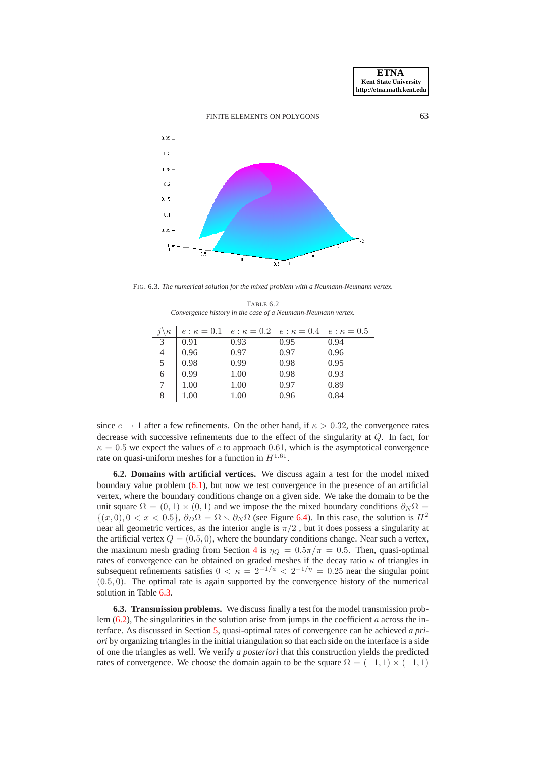

FIG. 6.3. *The numerical solution for the mixed problem with a Neumann-Neumann vertex.*

<span id="page-22-0"></span>TABLE 6.2 *Convergence history in the case of a Neumann-Neumann vertex.*

|               |              | $e: \kappa = 0.1$ $e: \kappa = 0.2$ $e: \kappa = 0.4$ $e: \kappa = 0.5$ |      |      |
|---------------|--------------|-------------------------------------------------------------------------|------|------|
| $\mathcal{E}$ | 0.91         | 0.93                                                                    | 0.95 | 0.94 |
| 4             | 0.96         | 0.97                                                                    | 0.97 | 0.96 |
| 5             | 0.98         | 0.99                                                                    | 0.98 | 0.95 |
| 6             | $\mid$ 0.99  | 1.00                                                                    | 0.98 | 0.93 |
|               | $\vert$ 1.00 | 1.00                                                                    | 0.97 | 0.89 |
| 8             | 1.00         | 1.00                                                                    | 0.96 | 0.84 |

since  $e \rightarrow 1$  after a few refinements. On the other hand, if  $\kappa > 0.32$ , the convergence rates decrease with successive refinements due to the effect of the singularity at Q. In fact, for  $\kappa = 0.5$  we expect the values of e to approach 0.61, which is the asymptotical convergence rate on quasi-uniform meshes for a function in  $H^{1.61}$ .

**6.2. Domains with artificial vertices.** We discuss again a test for the model mixed boundary value problem [\(6.1\)](#page-20-1), but now we test convergence in the presence of an artificial vertex, where the boundary conditions change on a given side. We take the domain to be the unit square  $\Omega = (0, 1) \times (0, 1)$  and we impose the the mixed boundary conditions  $\partial_N \Omega =$  $\{(x, 0), 0 < x < 0.5\}, \partial_D\Omega = \Omega \setminus \partial_N\Omega$  (see Figure [6.4\)](#page-23-0). In this case, the solution is  $H^2$ near all geometric vertices, as the interior angle is  $\pi/2$ , but it does possess a singularity at the artificial vertex  $Q = (0.5, 0)$ , where the boundary conditions change. Near such a vertex, the maximum mesh grading from Section [4](#page-10-0) is  $\eta_Q = 0.5\pi/\pi = 0.5$ . Then, quasi-optimal rates of convergence can be obtained on graded meshes if the decay ratio  $\kappa$  of triangles in subsequent refinements satisfies  $0 < \kappa = 2^{-1/a} < 2^{-1/\eta} = 0.25$  near the singular point (0.5, 0). The optimal rate is again supported by the convergence history of the numerical solution in Table [6.3.](#page-23-1)

**6.3. Transmission problems.** We discuss finally a test for the model transmission problem  $(6.2)$ , The singularities in the solution arise from jumps in the coefficient a across the interface. As discussed in Section [5,](#page-14-1) quasi-optimal rates of convergence can be achieved *a priori* by organizing triangles in the initial triangulation so that each side on the interface is a side of one the triangles as well. We verify *a posteriori* that this construction yields the predicted rates of convergence. We choose the domain again to be the square  $\Omega = (-1, 1) \times (-1, 1)$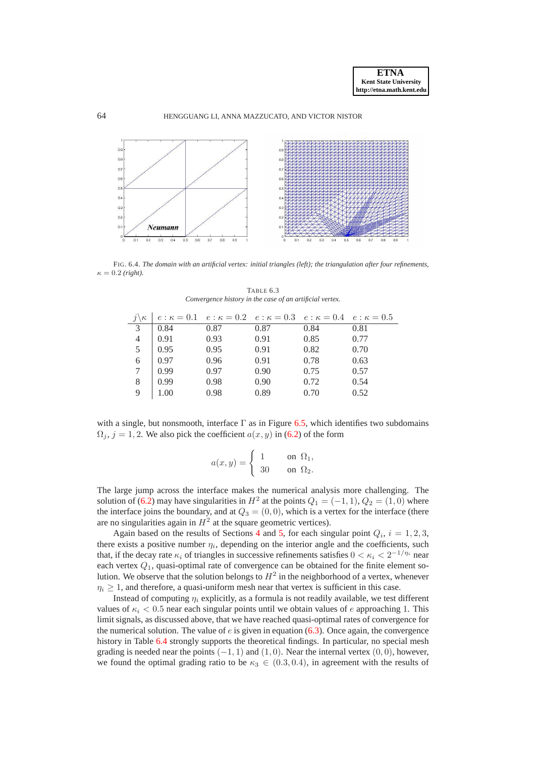



FIG. 6.4. *The domain with an artificial vertex: initial triangles (left); the triangulation after four refinements,*  $\kappa = 0.2$  (right).

<span id="page-23-0"></span>

| $j\setminus \kappa$ | $ e:\kappa = 0.1 \quad e:\kappa = 0.2 \quad e:\kappa = 0.3 \quad e:\kappa = 0.4 \quad e:\kappa = 0.5$ |      |      |      |      |
|---------------------|-------------------------------------------------------------------------------------------------------|------|------|------|------|
| 3                   | 0.84                                                                                                  | 0.87 | 0.87 | 0.84 | 0.81 |
| $\overline{4}$      | 0.91                                                                                                  | 0.93 | 0.91 | 0.85 | 0.77 |
| 5                   | $\vert 0.95 \vert$                                                                                    | 0.95 | 0.91 | 0.82 | 0.70 |
| 6                   | 0.97                                                                                                  | 0.96 | 0.91 | 0.78 | 0.63 |
|                     | 0.99                                                                                                  | 0.97 | 0.90 | 0.75 | 0.57 |
| 8                   | 0.99                                                                                                  | 0.98 | 0.90 | 0.72 | 0.54 |
|                     | 1.00                                                                                                  | 0.98 | 0.89 | 0.70 | 0.52 |

<span id="page-23-1"></span>TABLE 6.3 *Convergence history in the case of an artificial vertex.*

with a single, but nonsmooth, interface  $\Gamma$  as in Figure [6.5,](#page-24-0) which identifies two subdomains  $\Omega_i$ ,  $j = 1, 2$ . We also pick the coefficient  $a(x, y)$  in [\(6.2\)](#page-20-3) of the form

$$
a(x,y) = \begin{cases} 1 & \text{on } \Omega_1, \\ 30 & \text{on } \Omega_2. \end{cases}
$$

The large jump across the interface makes the numerical analysis more challenging. The solution of [\(6.2\)](#page-20-3) may have singularities in  $H^2$  at the points  $Q_1 = (-1, 1), Q_2 = (1, 0)$  where the interface joins the boundary, and at  $Q_3 = (0, 0)$ , which is a vertex for the interface (there are no singularities again in  $H^2$  at the square geometric vertices).

Again based on the results of Sections [4](#page-10-0) and [5,](#page-14-1) for each singular point  $Q_i$ ,  $i = 1, 2, 3$ , there exists a positive number  $\eta_i$ , depending on the interior angle and the coefficients, such that, if the decay rate  $\kappa_i$  of triangles in successive refinements satisfies  $0 < \kappa_i < 2^{-1/\eta_i}$  near each vertex  $Q_1$ , quasi-optimal rate of convergence can be obtained for the finite element solution. We observe that the solution belongs to  $H^2$  in the neighborhood of a vertex, whenever  $\eta_i \geq 1$ , and therefore, a quasi-uniform mesh near that vertex is sufficient in this case.

Instead of computing  $\eta_i$  explicitly, as a formula is not readily available, we test different values of  $\kappa_i < 0.5$  near each singular points until we obtain values of e approaching 1. This limit signals, as discussed above, that we have reached quasi-optimal rates of convergence for the numerical solution. The value of  $e$  is given in equation [\(6.3\)](#page-21-2). Once again, the convergence history in Table [6.4](#page-25-0) strongly supports the theoretical findings. In particular, no special mesh grading is needed near the points  $(-1, 1)$  and  $(1, 0)$ . Near the internal vertex  $(0, 0)$ , however, we found the optimal grading ratio to be  $\kappa_3 \in (0.3, 0.4)$ , in agreement with the results of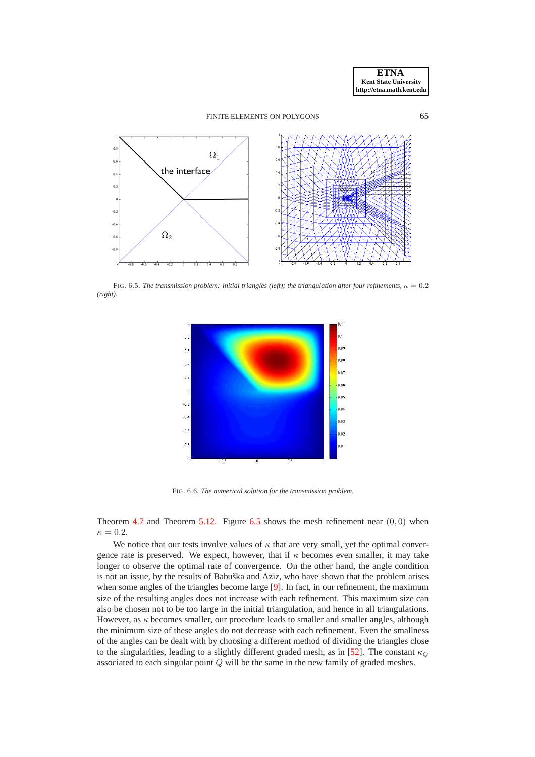



FIG. 6.5. *The transmission problem: initial triangles (left); the triangulation after four refinements,*  $\kappa = 0.2$ *(right).*

<span id="page-24-0"></span>

FIG. 6.6. *The numerical solution for the transmission problem.*

Theorem [4.7](#page-14-0) and Theorem [5.12.](#page-19-0) Figure [6.5](#page-24-0) shows the mesh refinement near  $(0, 0)$  when  $\kappa = 0.2$ .

We notice that our tests involve values of  $\kappa$  that are very small, yet the optimal convergence rate is preserved. We expect, however, that if  $\kappa$  becomes even smaller, it may take longer to observe the optimal rate of convergence. On the other hand, the angle condition is not an issue, by the results of Babuška and Aziz, who have shown that the problem arises when some angles of the triangles become large [\[9\]](#page-26-26). In fact, in our refinement, the maximum size of the resulting angles does not increase with each refinement. This maximum size can also be chosen not to be too large in the initial triangulation, and hence in all triangulations. However, as  $\kappa$  becomes smaller, our procedure leads to smaller and smaller angles, although the minimum size of these angles do not decrease with each refinement. Even the smallness of the angles can be dealt with by choosing a different method of dividing the triangles close to the singularities, leading to a slightly different graded mesh, as in [\[52\]](#page-27-22). The constant  $\kappa_Q$ associated to each singular point  $Q$  will be the same in the new family of graded meshes.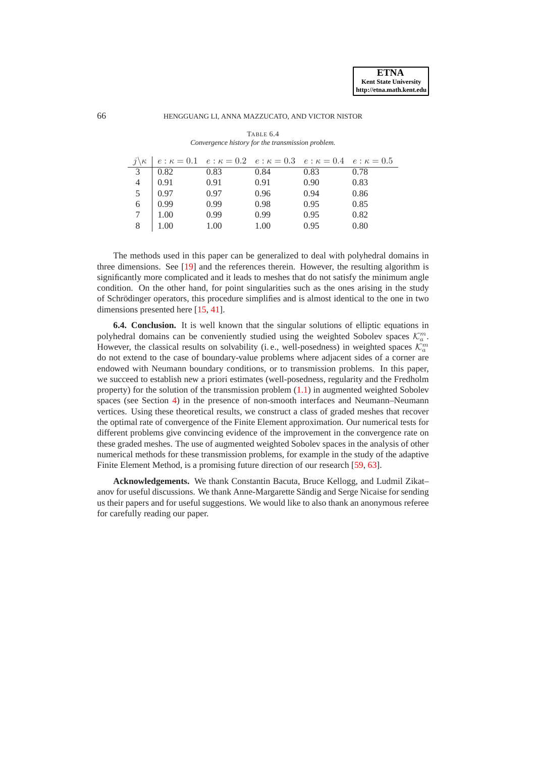|                | $j\backslash \kappa$   $e:\kappa = 0.1$ $e:\kappa = 0.2$ $e:\kappa = 0.3$ $e:\kappa = 0.4$ $e:\kappa = 0.5$ |      |      |      |      |
|----------------|-------------------------------------------------------------------------------------------------------------|------|------|------|------|
| 3              | $\vert$ 0.82                                                                                                | 0.83 | 0.84 | 0.83 | 0.78 |
|                | $\begin{array}{c c} 4 & 0.91 \\ 5 & 0.97 \end{array}$                                                       | 0.91 | 0.91 | 0.90 | 0.83 |
|                |                                                                                                             | 0.97 | 0.96 | 0.94 | 0.86 |
| $\overline{6}$ | 0.99                                                                                                        | 0.99 | 0.98 | 0.95 | 0.85 |
|                | $\vert$ 1.00                                                                                                | 0.99 | 0.99 | 0.95 | 0.82 |
| 8              | 1.00                                                                                                        | 1.00 | 1.00 | 0.95 | 0.80 |

<span id="page-25-0"></span>TABLE 6.4 *Convergence history for the transmission problem.*

The methods used in this paper can be generalized to deal with polyhedral domains in three dimensions. See [\[19\]](#page-26-27) and the references therein. However, the resulting algorithm is significantly more complicated and it leads to meshes that do not satisfy the minimum angle condition. On the other hand, for point singularities such as the ones arising in the study of Schrödinger operators, this procedure simplifies and is almost identical to the one in two dimensions presented here [\[15,](#page-26-28) [41\]](#page-27-28).

**6.4. Conclusion.** It is well known that the singular solutions of elliptic equations in polyhedral domains can be conveniently studied using the weighted Sobolev spaces  $\mathcal{K}_a^m$ . However, the classical results on solvability (i.e., well-posedness) in weighted spaces  $\mathcal{K}_a^m$ do not extend to the case of boundary-value problems where adjacent sides of a corner are endowed with Neumann boundary conditions, or to transmission problems. In this paper, we succeed to establish new a priori estimates (well-posedness, regularity and the Fredholm property) for the solution of the transmission problem  $(1.1)$  in augmented weighted Sobolev spaces (see Section [4\)](#page-10-0) in the presence of non-smooth interfaces and Neumann–Neumann vertices. Using these theoretical results, we construct a class of graded meshes that recover the optimal rate of convergence of the Finite Element approximation. Our numerical tests for different problems give convincing evidence of the improvement in the convergence rate on these graded meshes. The use of augmented weighted Sobolev spaces in the analysis of other numerical methods for these transmission problems, for example in the study of the adaptive Finite Element Method, is a promising future direction of our research [\[59,](#page-28-11) [63\]](#page-28-12).

**Acknowledgements.** We thank Constantin Bacuta, Bruce Kellogg, and Ludmil Zikat– anov for useful discussions. We thank Anne-Margarette Sändig and Serge Nicaise for sending us their papers and for useful suggestions. We would like to also thank an anonymous referee for carefully reading our paper.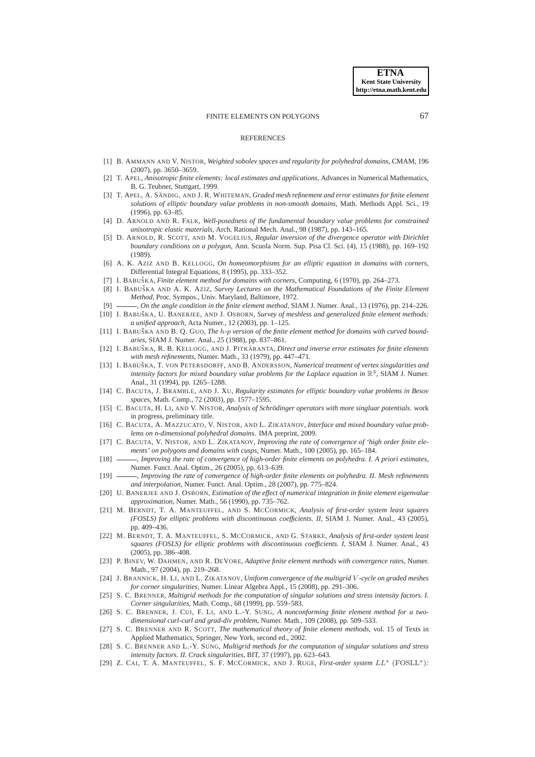#### **REFERENCES**

- <span id="page-26-24"></span>[1] B. AMMANN AND V. NISTOR, *Weighted sobolev spaces and regularity for polyhedral domains*, CMAM, 196 (2007), pp. 3650–3659.
- <span id="page-26-9"></span>[2] T. APEL, *Anisotropic finite elements: local estimates and applications*, Advances in Numerical Mathematics, B. G. Teubner, Stuttgart, 1999.
- <span id="page-26-25"></span>[3] T. APEL, A. SÄNDIG, AND J. R. WHITEMAN, *Graded mesh refinement and error estimates for finite element solutions of elliptic boundary value problems in non-smooth domains*, Math. Methods Appl. Sci., 19 (1996), pp. 63–85.
- <span id="page-26-18"></span>[4] D. ARNOLD AND R. FALK, *Well-posedness of the fundamental boundary value problems for constrained anisotropic elastic materials*, Arch. Rational Mech. Anal., 98 (1987), pp. 143–165.
- <span id="page-26-19"></span>[5] D. ARNOLD, R. SCOTT, AND M. VOGELIUS, *Regular inversion of the divergence operator with Dirichlet boundary conditions on a polygon*, Ann. Scuola Norm. Sup. Pisa Cl. Sci. (4), 15 (1988), pp. 169–192 (1989).
- <span id="page-26-0"></span>[6] A. K. AZIZ AND B. KELLOGG, *On homeomorphisms for an elliptic equation in domains with corners*, Differential Integral Equations, 8 (1995), pp. 333–352.
- <span id="page-26-20"></span><span id="page-26-1"></span>[7] I. BABUŠKA, *Finite element method for domains with corners*, Computing, 6 (1970), pp. 264–273.
- [8] I. BABUŠKA AND A. K. AZIZ, *Survey Lectures on the Mathematical Foundations of the Finite Element Method*, Proc. Sympos., Univ. Maryland, Baltimore, 1972.
- <span id="page-26-26"></span><span id="page-26-21"></span>[9] , *On the angle condition in the finite element method*, SIAM J. Numer. Anal., 13 (1976), pp. 214–226.
- [10] I. BABUŠKA, U. BANERJEE, AND J. OSBORN, *Survey of meshless and generalized finite element methods: a unified approach*, Acta Numer., 12 (2003), pp. 1–125.
- <span id="page-26-10"></span>[11] I. BABUŠKA AND B. O. GUO, *The h-p version of the finite element method for domains with curved boundaries*, SIAM J. Numer. Anal., 25 (1988), pp. 837–861.
- <span id="page-26-2"></span>[12] I. BABUŠKA, R. B. KELLOGG, AND J. PITKARANTA, Direct and inverse error estimates for finite elements *with mesh refinements*, Numer. Math., 33 (1979), pp. 447–471.
- <span id="page-26-11"></span>[13] I. BABUŠKA, T. VON PETERSDORFF, AND B. ANDERSSON, *Numerical treatment of vertex singularities and intensity factors for mixed boundary value problems for the Laplace equation in*  $\mathbb{R}^3$ , SIAM J. Numer. Anal., 31 (1994), pp. 1265–1288.
- <span id="page-26-13"></span>[14] C. BACUTA, J. BRAMBLE, AND J. XU, *Regularity estimates for elliptic boundary value problems in Besov spaces*, Math. Comp., 72 (2003), pp. 1577–1595.
- <span id="page-26-28"></span>[15] C. BACUTA, H. LI, AND V. NISTOR, *Analysis of Schrodinger operators with more singluar potentials ¨* . work in progress, preliminary title.
- <span id="page-26-3"></span>[16] C. BACUTA, A. MAZZUCATO, V. NISTOR, AND L. ZIKATANOV, *Interface and mixed boundary value problems on n-dimensional polyhedral domains*. IMA preprint, 2009.
- <span id="page-26-12"></span>[17] C. BACUTA, V. NISTOR, AND L. ZIKATANOV, *Improving the rate of convergence of 'high order finite elements' on polygons and domains with cusps*, Numer. Math., 100 (2005), pp. 165–184.
- <span id="page-26-17"></span>[18] , *Improving the rate of convergence of high-order finite elements on polyhedra. I. A priori estimates*, Numer. Funct. Anal. Optim., 26 (2005), pp. 613–639.
- <span id="page-26-27"></span>[19] , *Improving the rate of convergence of high-order finite elements on polyhedra. II. Mesh refinements and interpolation*, Numer. Funct. Anal. Optim., 28 (2007), pp. 775–824.
- <span id="page-26-22"></span>[20] U. BANERJEE AND J. OSBORN, *Estimation of the effect of numerical integration in finite element eigenvalue approximation*, Numer. Math., 56 (1990), pp. 735–762.
- <span id="page-26-6"></span>[21] M. BERNDT, T. A. MANTEUFFEL, AND S. MCCORMICK, *Analysis of first-order system least squares (FOSLS) for elliptic problems with discontinuous coefficients. II*, SIAM J. Numer. Anal., 43 (2005), pp. 409–436.
- <span id="page-26-7"></span>[22] M. BERNDT, T. A. MANTEUFFEL, S. MCCORMICK, AND G. STARKE, *Analysis of first-order system least squares (FOSLS) for elliptic problems with discontinuous coefficients. I*, SIAM J. Numer. Anal., 43 (2005), pp. 386–408.
- <span id="page-26-14"></span>[23] P. BINEV, W. DAHMEN, AND R. DEVORE, *Adaptive finite element methods with convergence rates*, Numer. Math., 97 (2004), pp. 219–268.
- <span id="page-26-5"></span>[24] J. BRANNICK, H. LI, AND L. ZIKATANOV, *Uniform convergence of the multigrid* V *-cycle on graded meshes for corner singularities*, Numer. Linear Algebra Appl., 15 (2008), pp. 291–306.
- <span id="page-26-15"></span>[25] S. C. BRENNER, *Multigrid methods for the computation of singular solutions and stress intensity factors. I. Corner singularities*, Math. Comp., 68 (1999), pp. 559–583.
- <span id="page-26-4"></span>[26] S. C. BRENNER, J. CUI, F. LI, AND L.-Y. SUNG, *A nonconforming finite element method for a twodimensional curl-curl and grad-div problem*, Numer. Math., 109 (2008), pp. 509–533.
- <span id="page-26-23"></span>[27] S. C. BRENNER AND R. SCOTT, *The mathematical theory of finite element methods*, vol. 15 of Texts in Applied Mathematics, Springer, New York, second ed., 2002.
- <span id="page-26-16"></span>[28] S. C. BRENNER AND L.-Y. SUNG, *Multigrid methods for the computation of singular solutions and stress intensity factors. II. Crack singularities*, BIT, 37 (1997), pp. 623–643.
- <span id="page-26-8"></span>[29] Z. CAI, T. A. MANTEUFFEL, S. F. MCCORMICK, AND J. RUGE, *First-order system* LL<sup>∗</sup> (FOSLL<sup>∗</sup> )*:*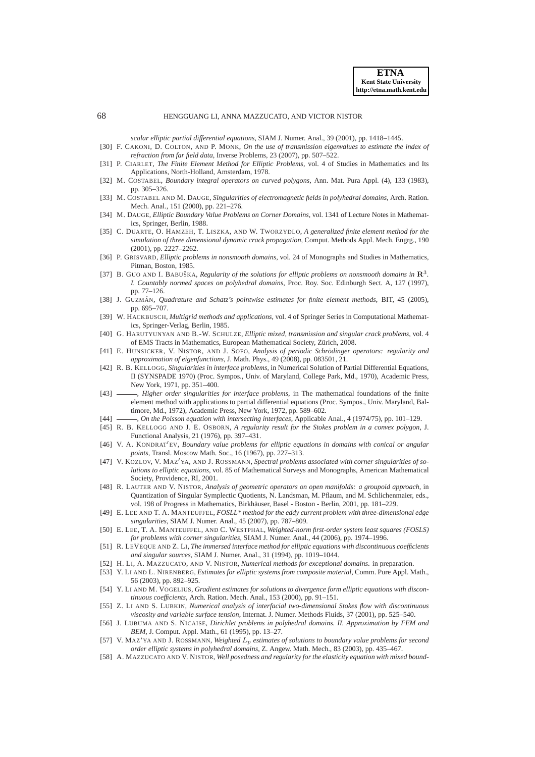*scalar elliptic partial differential equations*, SIAM J. Numer. Anal., 39 (2001), pp. 1418–1445.

- <span id="page-27-18"></span>[30] F. CAKONI, D. COLTON, AND P. MONK, *On the use of transmission eigenvalues to estimate the index of refraction from far field data*, Inverse Problems, 23 (2007), pp. 507–522.
- <span id="page-27-19"></span>[31] P. CIARLET, *The Finite Element Method for Elliptic Problems*, vol. 4 of Studies in Mathematics and Its Applications, North-Holland, Amsterdam, 1978.
- <span id="page-27-27"></span>[32] M. COSTABEL, *Boundary integral operators on curved polygons*, Ann. Mat. Pura Appl. (4), 133 (1983), pp. 305–326.
- <span id="page-27-13"></span>[33] M. COSTABEL AND M. DAUGE, *Singularities of electromagnetic fields in polyhedral domains*, Arch. Ration. Mech. Anal., 151 (2000), pp. 221–276.
- <span id="page-27-14"></span>[34] M. DAUGE, *Elliptic Boundary Value Problems on Corner Domains*, vol. 1341 of Lecture Notes in Mathematics, Springer, Berlin, 1988.
- <span id="page-27-17"></span>[35] C. DUARTE, O. HAMZEH, T. LISZKA, AND W. TWORZYDLO, *A generalized finite element method for the simulation of three dimensional dynamic crack propagation*, Comput. Methods Appl. Mech. Engrg., 190 (2001), pp. 2227–2262.
- <span id="page-27-15"></span>[36] P. GRISVARD, *Elliptic problems in nonsmooth domains*, vol. 24 of Monographs and Studies in Mathematics, Pitman, Boston, 1985.
- <span id="page-27-12"></span>[37] B. GUO AND I. BABUŠKA, *Regularity of the solutions for elliptic problems on nonsmooth domains in*  $\mathbb{R}^3$ . *I. Countably normed spaces on polyhedral domains*, Proc. Roy. Soc. Edinburgh Sect. A, 127 (1997), pp. 77–126.
- <span id="page-27-9"></span>[38] J. GUZMAN´ , *Quadrature and Schatz's pointwise estimates for finite element methods*, BIT, 45 (2005), pp. 695–707.
- <span id="page-27-20"></span>[39] W. HACKBUSCH, *Multigrid methods and applications*, vol. 4 of Springer Series in Computational Mathematics, Springer-Verlag, Berlin, 1985.
- <span id="page-27-6"></span>[40] G. HARUTYUNYAN AND B.-W. SCHULZE, *Elliptic mixed, transmission and singular crack problems*, vol. 4 of EMS Tracts in Mathematics, European Mathematical Society, Zurich, 2008. ¨
- <span id="page-27-28"></span>[41] E. HUNSICKER, V. NISTOR, AND J. SOFO, *Analysis of periodic Schrodinger operators: regularity and ¨ approximation of eigenfunctions*, J. Math. Phys., 49 (2008), pp. 083501, 21.
- <span id="page-27-25"></span>[42] R. B. KELLOGG, *Singularities in interface problems*, in Numerical Solution of Partial Differential Equations, II (SYNSPADE 1970) (Proc. Sympos., Univ. of Maryland, College Park, Md., 1970), Academic Press, New York, 1971, pp. 351–400.
- <span id="page-27-5"></span>[43]  $\_\_\_\_\$ *Higher order singularities for interface problems*, in The mathematical foundations of the finite element method with applications to partial differential equations (Proc. Sympos., Univ. Maryland, Baltimore, Md., 1972), Academic Press, New York, 1972, pp. 589–602.
- <span id="page-27-21"></span><span id="page-27-2"></span>[44] , *On the Poisson equation with intersecting interfaces*, Applicable Anal., 4 (1974/75), pp. 101–129.
- [45] R. B. KELLOGG AND J. E. OSBORN, *A regularity result for the Stokes problem in a convex polygon*, J. Functional Analysis, 21 (1976), pp. 397–431.
- <span id="page-27-7"></span>[46] V. A. KONDRAT′EV, *Boundary value problems for elliptic equations in domains with conical or angular points*, Transl. Moscow Math. Soc., 16 (1967), pp. 227–313.
- <span id="page-27-24"></span>[47] V. KOZLOV, V. MAZ′YA, AND J. ROSSMANN, *Spectral problems associated with corner singularities of solutions to elliptic equations*, vol. 85 of Mathematical Surveys and Monographs, American Mathematical Society, Providence, RI, 2001.
- <span id="page-27-26"></span>[48] R. LAUTER AND V. NISTOR, *Analysis of geometric operators on open manifolds: a groupoid approach*, in Quantization of Singular Symplectic Quotients, N. Landsman, M. Pflaum, and M. Schlichenmaier, eds., vol. 198 of Progress in Mathematics, Birkhäuser, Basel - Boston - Berlin, 2001, pp. 181–229.
- <span id="page-27-11"></span>[49] E. LEE AND T. A. MANTEUFFEL, *FOSLL\* method for the eddy current problem with three-dimensional edge singularities*, SIAM J. Numer. Anal., 45 (2007), pp. 787–809.
- <span id="page-27-10"></span>[50] E. LEE, T. A. MANTEUFFEL, AND C. WESTPHAL, *Weighted-norm first-order system least squares (FOSLS) for problems with corner singularities*, SIAM J. Numer. Anal., 44 (2006), pp. 1974–1996.
- <span id="page-27-0"></span>[51] R. LEVEQUE AND Z. LI, *The immersed interface method for elliptic equations with discontinuous coefficients and singular sources*, SIAM J. Numer. Anal., 31 (1994), pp. 1019–1044.
- <span id="page-27-22"></span><span id="page-27-3"></span>[52] H. LI, A. MAZZUCATO, AND V. NISTOR, *Numerical methods for exceptional domains*. in preparation.
- [53] Y. LI AND L. NIRENBERG, *Estimates for elliptic systems from composite material*, Comm. Pure Appl. Math., 56 (2003), pp. 892–925.
- <span id="page-27-4"></span>[54] Y. LI AND M. VOGELIUS, *Gradient estimates for solutions to divergence form elliptic equations with discontinuous coefficients*, Arch. Ration. Mech. Anal., 153 (2000), pp. 91–151.
- <span id="page-27-1"></span>[55] Z. LI AND S. LUBKIN, *Numerical analysis of interfacial two-dimensional Stokes flow with discontinuous viscosity and variable surface tension*, Internat. J. Numer. Methods Fluids, 37 (2001), pp. 525–540.
- <span id="page-27-16"></span>[56] J. LUBUMA AND S. NICAISE, *Dirichlet problems in polyhedral domains. II. Approximation by FEM and BEM*, J. Comput. Appl. Math., 61 (1995), pp. 13–27.
- <span id="page-27-23"></span>[57] V. MAZ'YA AND J. ROSSMANN, *Weighted* L<sup>p</sup> *estimates of solutions to boundary value problems for second order elliptic systems in polyhedral domains*, Z. Angew. Math. Mech., 83 (2003), pp. 435–467.
- <span id="page-27-8"></span>[58] A. MAZZUCATO AND V. NISTOR, *Well posedness and regularity for the elasticity equation with mixed bound-*